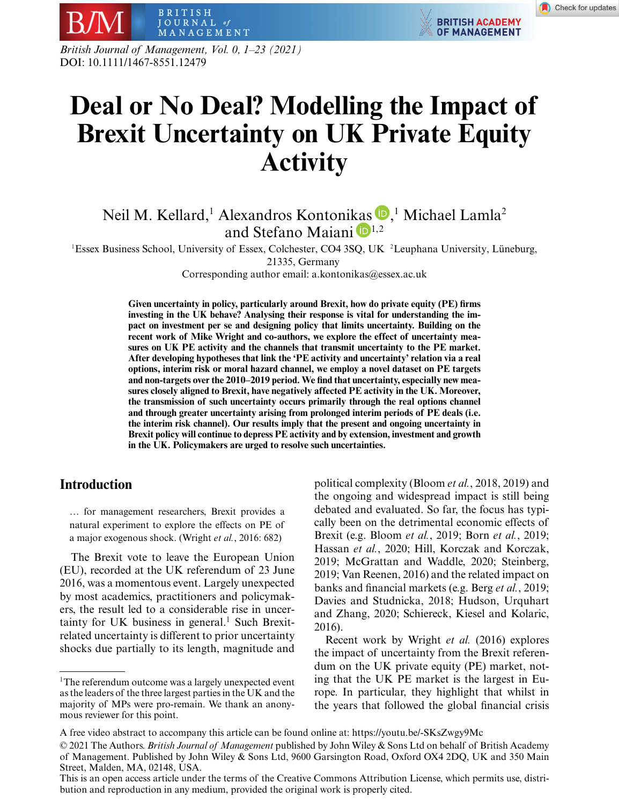**BRITISH ACADEMY** 

**OF MANAGEMENT** 

*British Journal of Management, Vol. 0, 1–23 (2021)* DOI: 10.1111/1467-8551.12479

BRITISH JOURNAL of

MANAGEMENT

# **Deal or No Deal? Modelling the Impact of Brexit Uncertainty on UK Private Equity Activity**

# Neil M. Kellard,<sup>1</sup> Alexandros Kontoni[kas](https://orcid.org/0000-0002-4862-1725)  $\mathbf{D}$ [,](https://orcid.org/0000-0003-3725-5149)<sup>1</sup> Michael Lamla<sup>2</sup> and Stefano Maiani  $\mathbf{D}^{1,2}$

<sup>1</sup>Essex Business School, University of Essex, Colchester, CO4 3SQ, UK <sup>2</sup> Leuphana University, Lüneburg,

21335, Germany

Corresponding author email: a.kontonikas@essex.ac.uk

**Given uncertainty in policy, particularly around Brexit, how do private equity (PE) firms investing in the UK behave? Analysing their response is vital for understanding the impact on investment per se and designing policy that limits uncertainty. Building on the recent work of Mike Wright and co-authors, we explore the effect of uncertainty measures on UK PE activity and the channels that transmit uncertainty to the PE market. After developing hypotheses that link the 'PE activity and uncertainty' relation via a real options, interim risk or moral hazard channel, we employ a novel dataset on PE targets and non-targets over the 2010–2019 period. We find that uncertainty, especially new measures closely aligned to Brexit, have negatively affected PE activity in the UK. Moreover, the transmission of such uncertainty occurs primarily through the real options channel and through greater uncertainty arising from prolonged interim periods of PE deals (i.e. the interim risk channel). Our results imply that the present and ongoing uncertainty in Brexit policy will continue to depress PE activity and by extension, investment and growth in the UK. Policymakers are urged to resolve such uncertainties.**

# **Introduction**

… for management researchers, Brexit provides a natural experiment to explore the effects on PE of a major exogenous shock. (Wright *et al.*, 2016: 682)

The Brexit vote to leave the European Union (EU), recorded at the UK referendum of 23 June 2016, was a momentous event. Largely unexpected by most academics, practitioners and policymakers, the result led to a considerable rise in uncertainty for UK business in general. $1$  Such Brexitrelated uncertainty is different to prior uncertainty shocks due partially to its length, magnitude and

political complexity (Bloom *et al.*, 2018, 2019) and the ongoing and widespread impact is still being debated and evaluated. So far, the focus has typically been on the detrimental economic effects of Brexit (e.g. Bloom *et al.*, 2019; Born *et al.*, 2019; Hassan *et al.*, 2020; Hill, Korczak and Korczak, 2019; McGrattan and Waddle, 2020; Steinberg, 2019; Van Reenen, 2016) and the related impact on banks and financial markets (e.g. Berg *et al.*, 2019; Davies and Studnicka, 2018; Hudson, Urquhart and Zhang, 2020; Schiereck, Kiesel and Kolaric, 2016).

Recent work by Wright *et al.* (2016) explores the impact of uncertainty from the Brexit referendum on the UK private equity (PE) market, noting that the UK PE market is the largest in Europe. In particular, they highlight that whilst in the years that followed the global financial crisis

<sup>&</sup>lt;sup>1</sup>The referendum outcome was a largely unexpected event as the leaders of the three largest parties in the UK and the majority of MPs were pro-remain. We thank an anonymous reviewer for this point.

A free video abstract to accompany this article can be found online at:<https://youtu.be/-SKsZwgy9Mc>

<sup>© 2021</sup> The Authors. *British Journal of Management* published by John Wiley & Sons Ltd on behalf of British Academy of Management. Published by John Wiley & Sons Ltd, 9600 Garsington Road, Oxford OX4 2DQ, UK and 350 Main Street, Malden, MA, 02148, USA.

This is an open access article under the terms of the [Creative Commons Attribution](http://creativecommons.org/licenses/by/4.0/) License, which permits use, distribution and reproduction in any medium, provided the original work is properly cited.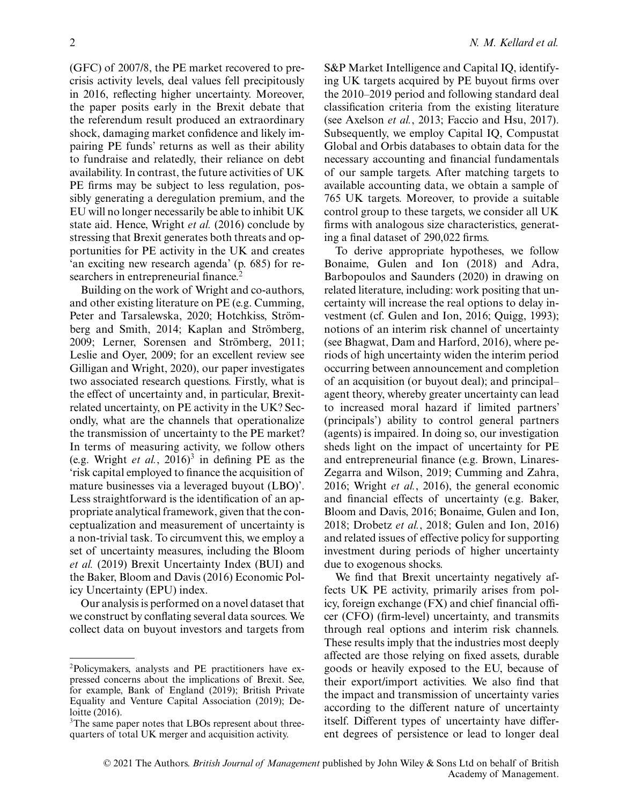(GFC) of 2007/8, the PE market recovered to precrisis activity levels, deal values fell precipitously in 2016, reflecting higher uncertainty. Moreover, the paper posits early in the Brexit debate that the referendum result produced an extraordinary shock, damaging market confidence and likely impairing PE funds' returns as well as their ability to fundraise and relatedly, their reliance on debt availability. In contrast, the future activities of UK PE firms may be subject to less regulation, possibly generating a deregulation premium, and the EU will no longer necessarily be able to inhibit UK state aid. Hence, Wright *et al.* (2016) conclude by stressing that Brexit generates both threats and opportunities for PE activity in the UK and creates 'an exciting new research agenda' (p. 685) for researchers in entrepreneurial finance.<sup>2</sup>

Building on the work of Wright and co-authors, and other existing literature on PE (e.g. Cumming, Peter and Tarsalewska, 2020; Hotchkiss, Strömberg and Smith, 2014; Kaplan and Strömberg, 2009; Lerner, Sorensen and Strömberg, 2011; Leslie and Oyer, 2009; for an excellent review see Gilligan and Wright, 2020), our paper investigates two associated research questions. Firstly, what is the effect of uncertainty and, in particular, Brexitrelated uncertainty, on PE activity in the UK? Secondly, what are the channels that operationalize the transmission of uncertainty to the PE market? In terms of measuring activity, we follow others (e.g. Wright *et al.*, 2016)<sup>3</sup> in defining PE as the 'risk capital employed to finance the acquisition of mature businesses via a leveraged buyout (LBO)'. Less straightforward is the identification of an appropriate analytical framework, given that the conceptualization and measurement of uncertainty is a non-trivial task. To circumvent this, we employ a set of uncertainty measures, including the Bloom *et al.* (2019) Brexit Uncertainty Index (BUI) and the Baker, Bloom and Davis (2016) Economic Policy Uncertainty (EPU) index.

Our analysis is performed on a novel dataset that we construct by conflating several data sources. We collect data on buyout investors and targets from S&P Market Intelligence and Capital IQ, identifying UK targets acquired by PE buyout firms over the 2010–2019 period and following standard deal classification criteria from the existing literature (see Axelson *et al.*, 2013; Faccio and Hsu, 2017). Subsequently, we employ Capital IQ, Compustat Global and Orbis databases to obtain data for the necessary accounting and financial fundamentals of our sample targets. After matching targets to available accounting data, we obtain a sample of 765 UK targets. Moreover, to provide a suitable control group to these targets, we consider all UK firms with analogous size characteristics, generating a final dataset of 290,022 firms.

To derive appropriate hypotheses, we follow Bonaime, Gulen and Ion (2018) and Adra, Barbopoulos and Saunders (2020) in drawing on related literature, including: work positing that uncertainty will increase the real options to delay investment (cf. Gulen and Ion, 2016; Quigg, 1993); notions of an interim risk channel of uncertainty (see Bhagwat, Dam and Harford, 2016), where periods of high uncertainty widen the interim period occurring between announcement and completion of an acquisition (or buyout deal); and principal– agent theory, whereby greater uncertainty can lead to increased moral hazard if limited partners' (principals') ability to control general partners (agents) is impaired. In doing so, our investigation sheds light on the impact of uncertainty for PE and entrepreneurial finance (e.g. Brown, Linares-Zegarra and Wilson, 2019; Cumming and Zahra, 2016; Wright *et al.*, 2016), the general economic and financial effects of uncertainty (e.g. Baker, Bloom and Davis, 2016; Bonaime, Gulen and Ion, 2018; Drobetz *et al.*, 2018; Gulen and Ion, 2016) and related issues of effective policy for supporting investment during periods of higher uncertainty due to exogenous shocks.

We find that Brexit uncertainty negatively affects UK PE activity, primarily arises from policy, foreign exchange (FX) and chief financial officer (CFO) (firm-level) uncertainty, and transmits through real options and interim risk channels. These results imply that the industries most deeply affected are those relying on fixed assets, durable goods or heavily exposed to the EU, because of their export/import activities. We also find that the impact and transmission of uncertainty varies according to the different nature of uncertainty itself. Different types of uncertainty have different degrees of persistence or lead to longer deal

<sup>2</sup>Policymakers, analysts and PE practitioners have expressed concerns about the implications of Brexit. See, for example, Bank of England (2019); British Private Equality and Venture Capital Association (2019); Deloitte (2016).

<sup>&</sup>lt;sup>3</sup>The same paper notes that LBOs represent about threequarters of total UK merger and acquisition activity.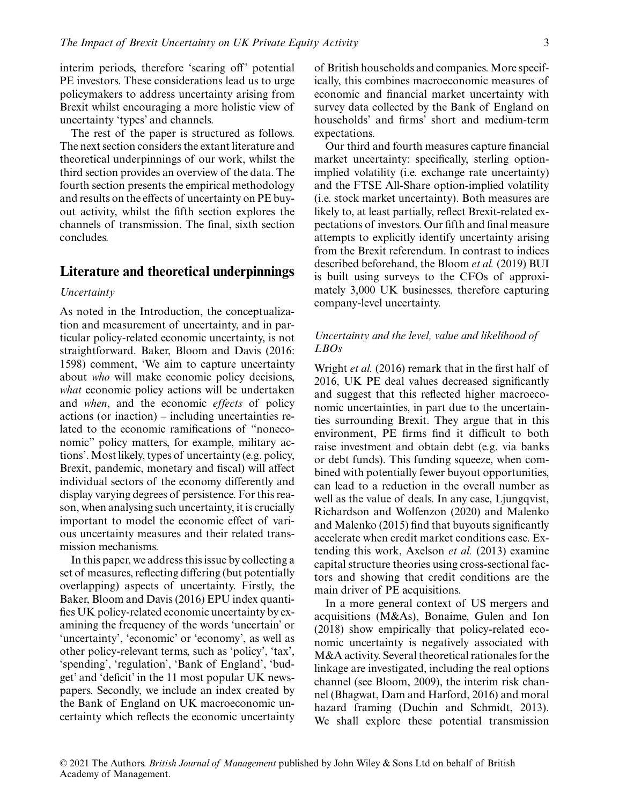interim periods, therefore 'scaring off' potential PE investors. These considerations lead us to urge policymakers to address uncertainty arising from Brexit whilst encouraging a more holistic view of uncertainty 'types' and channels.

The rest of the paper is structured as follows. The next section considers the extant literature and theoretical underpinnings of our work, whilst the third section provides an overview of the data. The fourth section presents the empirical methodology and results on the effects of uncertainty on PE buyout activity, whilst the fifth section explores the channels of transmission. The final, sixth section concludes.

#### **Literature and theoretical underpinnings**

#### *Uncertainty*

As noted in the Introduction, the conceptualization and measurement of uncertainty, and in particular policy-related economic uncertainty, is not straightforward. Baker, Bloom and Davis (2016: 1598) comment, 'We aim to capture uncertainty about *who* will make economic policy decisions, *what* economic policy actions will be undertaken and *when*, and the economic *effects* of policy actions (or inaction) – including uncertainties related to the economic ramifications of "noneconomic" policy matters, for example, military actions'. Most likely, types of uncertainty (e.g. policy, Brexit, pandemic, monetary and fiscal) will affect individual sectors of the economy differently and display varying degrees of persistence. For this reason, when analysing such uncertainty, it is crucially important to model the economic effect of various uncertainty measures and their related transmission mechanisms.

In this paper, we address this issue by collecting a set of measures, reflecting differing (but potentially overlapping) aspects of uncertainty. Firstly, the Baker, Bloom and Davis (2016) EPU index quantifies UK policy-related economic uncertainty by examining the frequency of the words 'uncertain' or 'uncertainty', 'economic' or 'economy', as well as other policy-relevant terms, such as 'policy', 'tax', 'spending', 'regulation', 'Bank of England', 'budget' and 'deficit' in the 11 most popular UK newspapers. Secondly, we include an index created by the Bank of England on UK macroeconomic uncertainty which reflects the economic uncertainty of British households and companies. More specifically, this combines macroeconomic measures of economic and financial market uncertainty with survey data collected by the Bank of England on households' and firms' short and medium-term expectations.

Our third and fourth measures capture financial market uncertainty: specifically, sterling optionimplied volatility (i.e. exchange rate uncertainty) and the FTSE All-Share option-implied volatility (i.e. stock market uncertainty). Both measures are likely to, at least partially, reflect Brexit-related expectations of investors. Our fifth and final measure attempts to explicitly identify uncertainty arising from the Brexit referendum. In contrast to indices described beforehand, the Bloom *et al.* (2019) BUI is built using surveys to the CFOs of approximately 3,000 UK businesses, therefore capturing company-level uncertainty.

## *Uncertainty and the level, value and likelihood of LBOs*

Wright *et al.* (2016) remark that in the first half of 2016, UK PE deal values decreased significantly and suggest that this reflected higher macroeconomic uncertainties, in part due to the uncertainties surrounding Brexit. They argue that in this environment, PE firms find it difficult to both raise investment and obtain debt (e.g. via banks or debt funds). This funding squeeze, when combined with potentially fewer buyout opportunities, can lead to a reduction in the overall number as well as the value of deals. In any case, Ljungqvist, Richardson and Wolfenzon (2020) and Malenko and Malenko (2015) find that buyouts significantly accelerate when credit market conditions ease. Extending this work, Axelson *et al.* (2013) examine capital structure theories using cross-sectional factors and showing that credit conditions are the main driver of PE acquisitions.

In a more general context of US mergers and acquisitions (M&As), Bonaime, Gulen and Ion (2018) show empirically that policy-related economic uncertainty is negatively associated with M&A activity. Several theoretical rationales for the linkage are investigated, including the real options channel (see Bloom, 2009), the interim risk channel (Bhagwat, Dam and Harford, 2016) and moral hazard framing (Duchin and Schmidt, 2013). We shall explore these potential transmission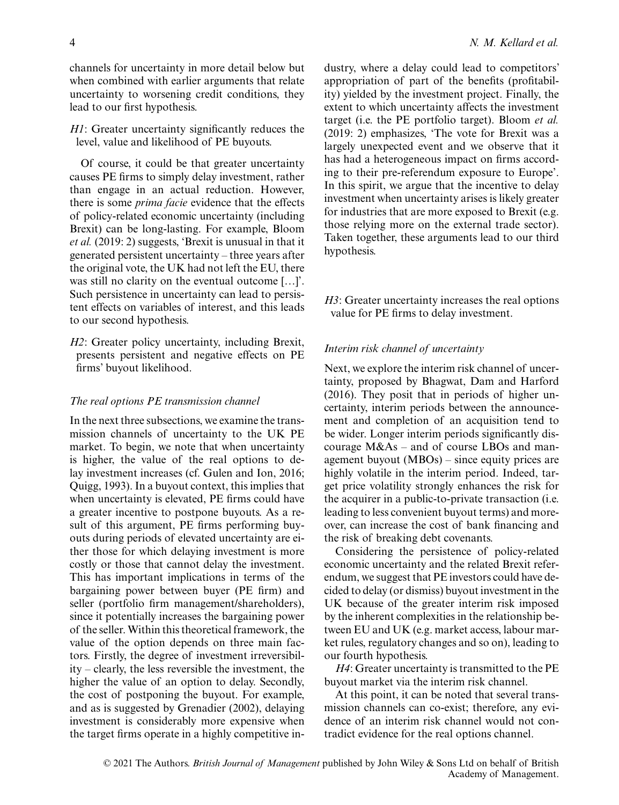channels for uncertainty in more detail below but when combined with earlier arguments that relate uncertainty to worsening credit conditions, they lead to our first hypothesis.

*H1*: Greater uncertainty significantly reduces the level, value and likelihood of PE buyouts.

Of course, it could be that greater uncertainty causes PE firms to simply delay investment, rather than engage in an actual reduction. However, there is some *prima facie* evidence that the effects of policy-related economic uncertainty (including Brexit) can be long-lasting. For example, Bloom *et al.* (2019: 2) suggests, 'Brexit is unusual in that it generated persistent uncertainty – three years after the original vote, the UK had not left the EU, there was still no clarity on the eventual outcome […]'. Such persistence in uncertainty can lead to persistent effects on variables of interest, and this leads to our second hypothesis.

*H2*: Greater policy uncertainty, including Brexit, presents persistent and negative effects on PE firms' buyout likelihood.

#### *The real options PE transmission channel*

In the next three subsections, we examine the transmission channels of uncertainty to the UK PE market. To begin, we note that when uncertainty is higher, the value of the real options to delay investment increases (cf. Gulen and Ion, 2016; Quigg, 1993). In a buyout context, this implies that when uncertainty is elevated, PE firms could have a greater incentive to postpone buyouts. As a result of this argument, PE firms performing buyouts during periods of elevated uncertainty are either those for which delaying investment is more costly or those that cannot delay the investment. This has important implications in terms of the bargaining power between buyer (PE firm) and seller (portfolio firm management/shareholders), since it potentially increases the bargaining power of the seller. Within this theoretical framework, the value of the option depends on three main factors. Firstly, the degree of investment irreversibility – clearly, the less reversible the investment, the higher the value of an option to delay. Secondly, the cost of postponing the buyout. For example, and as is suggested by Grenadier (2002), delaying investment is considerably more expensive when the target firms operate in a highly competitive industry, where a delay could lead to competitors' appropriation of part of the benefits (profitability) yielded by the investment project. Finally, the extent to which uncertainty affects the investment target (i.e. the PE portfolio target). Bloom *et al.* (2019: 2) emphasizes, 'The vote for Brexit was a largely unexpected event and we observe that it has had a heterogeneous impact on firms according to their pre-referendum exposure to Europe'. In this spirit, we argue that the incentive to delay investment when uncertainty arises is likely greater for industries that are more exposed to Brexit (e.g. those relying more on the external trade sector). Taken together, these arguments lead to our third hypothesis.

*H3*: Greater uncertainty increases the real options value for PE firms to delay investment.

#### *Interim risk channel of uncertainty*

Next, we explore the interim risk channel of uncertainty, proposed by Bhagwat, Dam and Harford (2016). They posit that in periods of higher uncertainty, interim periods between the announcement and completion of an acquisition tend to be wider. Longer interim periods significantly discourage M&As – and of course LBOs and management buyout (MBOs) – since equity prices are highly volatile in the interim period. Indeed, target price volatility strongly enhances the risk for the acquirer in a public-to-private transaction (i.e. leading to less convenient buyout terms) and moreover, can increase the cost of bank financing and the risk of breaking debt covenants.

Considering the persistence of policy-related economic uncertainty and the related Brexit referendum, we suggest that PE investors could have decided to delay (or dismiss) buyout investment in the UK because of the greater interim risk imposed by the inherent complexities in the relationship between EU and UK (e.g. market access, labour market rules, regulatory changes and so on), leading to our fourth hypothesis.

*H4*: Greater uncertainty is transmitted to the PE buyout market via the interim risk channel.

At this point, it can be noted that several transmission channels can co-exist; therefore, any evidence of an interim risk channel would not contradict evidence for the real options channel.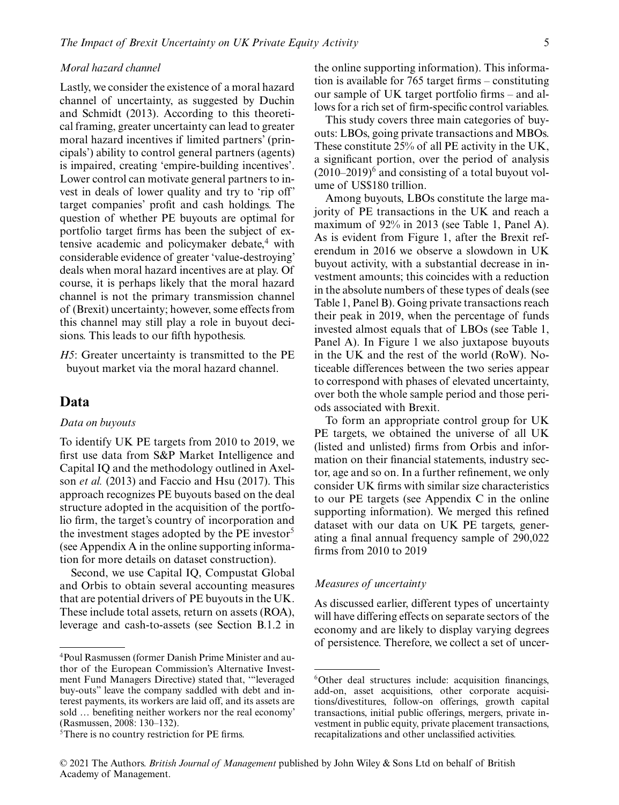#### *Moral hazard channel*

Lastly, we consider the existence of a moral hazard channel of uncertainty, as suggested by Duchin and Schmidt (2013). According to this theoretical framing, greater uncertainty can lead to greater moral hazard incentives if limited partners' (principals') ability to control general partners (agents) is impaired, creating 'empire-building incentives'. Lower control can motivate general partners to invest in deals of lower quality and try to 'rip off' target companies' profit and cash holdings. The question of whether PE buyouts are optimal for portfolio target firms has been the subject of extensive academic and policymaker debate, $4$  with considerable evidence of greater 'value-destroying' deals when moral hazard incentives are at play. Of course, it is perhaps likely that the moral hazard channel is not the primary transmission channel of (Brexit) uncertainty; however, some effects from this channel may still play a role in buyout decisions. This leads to our fifth hypothesis.

*H5*: Greater uncertainty is transmitted to the PE buyout market via the moral hazard channel.

## **Data**

#### *Data on buyouts*

To identify UK PE targets from 2010 to 2019, we first use data from S&P Market Intelligence and Capital IQ and the methodology outlined in Axelson *et al.* (2013) and Faccio and Hsu (2017). This approach recognizes PE buyouts based on the deal structure adopted in the acquisition of the portfolio firm, the target's country of incorporation and the investment stages adopted by the  $PE$  investor<sup>5</sup> (see Appendix A in the online supporting information for more details on dataset construction).

Second, we use Capital IQ, Compustat Global and Orbis to obtain several accounting measures that are potential drivers of PE buyouts in the UK. These include total assets, return on assets (ROA), leverage and cash-to-assets (see Section B.1.2 in the online supporting information). This information is available for 765 target firms – constituting our sample of UK target portfolio firms – and allows for a rich set of firm-specific control variables.

This study covers three main categories of buyouts: LBOs, going private transactions and MBOs. These constitute 25% of all PE activity in the UK, a significant portion, over the period of analysis  $(2010-2019)^6$  and consisting of a total buyout volume of US\$180 trillion.

Among buyouts, LBOs constitute the large majority of PE transactions in the UK and reach a maximum of 92% in 2013 (see Table 1, Panel A). As is evident from Figure 1, after the Brexit referendum in 2016 we observe a slowdown in UK buyout activity, with a substantial decrease in investment amounts; this coincides with a reduction in the absolute numbers of these types of deals (see Table 1, Panel B). Going private transactions reach their peak in 2019, when the percentage of funds invested almost equals that of LBOs (see Table 1, Panel A). In Figure 1 we also juxtapose buyouts in the UK and the rest of the world (RoW). Noticeable differences between the two series appear to correspond with phases of elevated uncertainty, over both the whole sample period and those periods associated with Brexit.

To form an appropriate control group for UK PE targets, we obtained the universe of all UK (listed and unlisted) firms from Orbis and information on their financial statements, industry sector, age and so on. In a further refinement, we only consider UK firms with similar size characteristics to our PE targets (see Appendix C in the online supporting information). We merged this refined dataset with our data on UK PE targets, generating a final annual frequency sample of 290,022 firms from 2010 to 2019

## *Measures of uncertainty*

As discussed earlier, different types of uncertainty will have differing effects on separate sectors of the economy and are likely to display varying degrees of persistence. Therefore, we collect a set of uncer-

<sup>4</sup>Poul Rasmussen (former Danish Prime Minister and author of the European Commission's Alternative Investment Fund Managers Directive) stated that, '"leveraged buy-outs" leave the company saddled with debt and interest payments, its workers are laid off, and its assets are sold … benefiting neither workers nor the real economy' (Rasmussen, 2008: 130–132).

<sup>5</sup>There is no country restriction for PE firms.

<sup>&</sup>lt;sup>6</sup>Other deal structures include: acquisition financings, add-on, asset acquisitions, other corporate acquisitions/divestitures, follow-on offerings, growth capital transactions, initial public offerings, mergers, private investment in public equity, private placement transactions, recapitalizations and other unclassified activities.

<sup>© 2021</sup> The Authors. *British Journal of Management* published by John Wiley & Sons Ltd on behalf of British Academy of Management.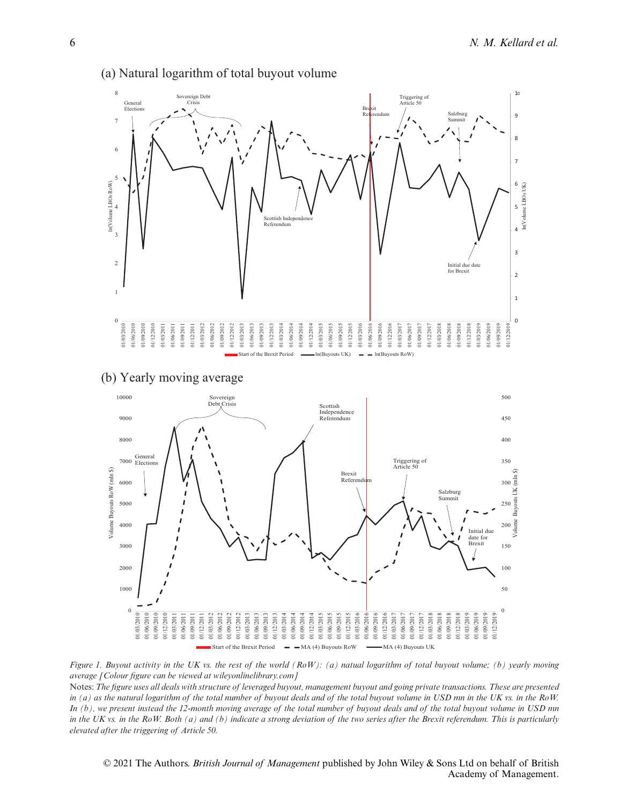

## (a) Natural logarithm of total buyout volume

(b) Yearly moving average



*Figure 1. Buyout activity in the UK vs. the rest of the world (RoW): (a) natual logarithm of total buyout volume; (b) yearly moving average [Colour figure can be viewed at wileyonlinelibrary.com]*

Notes: *The figure uses all deals with structure of leveraged buyout, management buyout and going private transactions. These are presented in (a) as the natural logarithm of the total number of buyout deals and of the total buyout volume in USD mn in the UK vs. in the RoW. In (b), we present instead the 12-month moving average of the total number of buyout deals and of the total buyout volume in USD mn in the UK vs. in the RoW. Both (a) and (b) indicate a strong deviation of the two series after the Brexit referendum. This is particularly elevated after the triggering of Article 50.*

© 2021 The Authors. *British Journal of Management* published by John Wiley & Sons Ltd on behalf of British Academy of Management.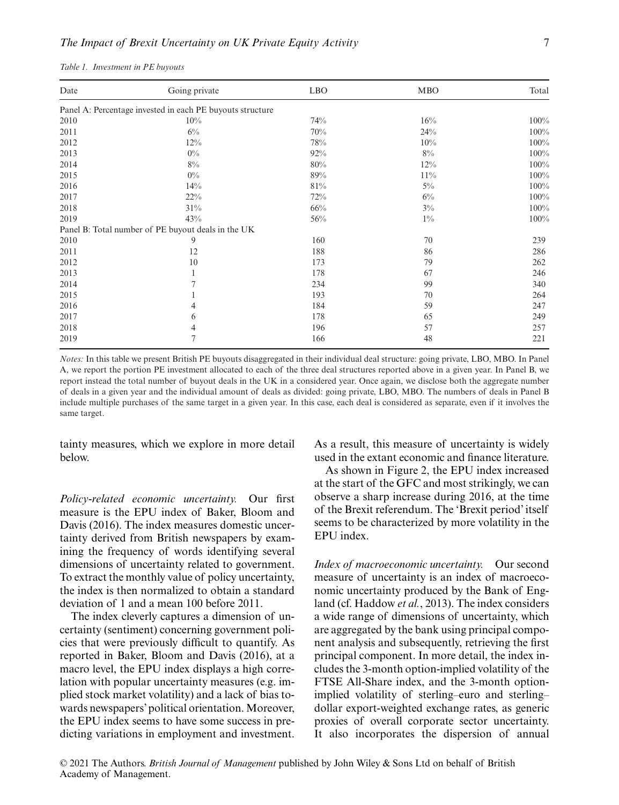| Date | Going private                                             | <b>LBO</b> | <b>MBO</b> | Total |
|------|-----------------------------------------------------------|------------|------------|-------|
|      |                                                           |            |            |       |
|      | Panel A: Percentage invested in each PE buyouts structure |            |            |       |
| 2010 | 10%                                                       | 74%        | 16%        | 100%  |
| 2011 | $6\%$                                                     | 70%        | 24%        | 100%  |
| 2012 | 12%                                                       | 78%        | 10%        | 100%  |
| 2013 | $0\%$                                                     | 92%        | $8\%$      | 100%  |
| 2014 | $8\%$                                                     | 80%        | 12%        | 100%  |
| 2015 | $0\%$                                                     | 89%        | 11%        | 100%  |
| 2016 | 14%                                                       | 81%        | $5\%$      | 100%  |
| 2017 | 22%                                                       | 72%        | $6\%$      | 100%  |
| 2018 | 31%                                                       | 66%        | $3\%$      | 100%  |
| 2019 | 43%                                                       | 56%        | $1\%$      | 100%  |
|      | Panel B: Total number of PE buyout deals in the UK        |            |            |       |
| 2010 | 9                                                         | 160        | 70         | 239   |
| 2011 | 12                                                        | 188        | 86         | 286   |
| 2012 | 10                                                        | 173        | 79         | 262   |
| 2013 | 1                                                         | 178        | 67         | 246   |
| 2014 |                                                           | 234        | 99         | 340   |
| 2015 |                                                           | 193        | 70         | 264   |
| 2016 | 4                                                         | 184        | 59         | 247   |
| 2017 | 6                                                         | 178        | 65         | 249   |
| 2018 | 4                                                         | 196        | 57         | 257   |
| 2019 | 7                                                         | 166        | 48         | 221   |

|  | Table 1. Investment in PE buyouts |  |  |  |
|--|-----------------------------------|--|--|--|
|--|-----------------------------------|--|--|--|

*Notes:* In this table we present British PE buyouts disaggregated in their individual deal structure: going private, LBO, MBO. In Panel A, we report the portion PE investment allocated to each of the three deal structures reported above in a given year. In Panel B, we report instead the total number of buyout deals in the UK in a considered year. Once again, we disclose both the aggregate number of deals in a given year and the individual amount of deals as divided: going private, LBO, MBO. The numbers of deals in Panel B include multiple purchases of the same target in a given year. In this case, each deal is considered as separate, even if it involves the same target.

tainty measures, which we explore in more detail below.

*Policy-related economic uncertainty.* Our first measure is the EPU index of Baker, Bloom and Davis (2016). The index measures domestic uncertainty derived from British newspapers by examining the frequency of words identifying several dimensions of uncertainty related to government. To extract the monthly value of policy uncertainty, the index is then normalized to obtain a standard deviation of 1 and a mean 100 before 2011.

The index cleverly captures a dimension of uncertainty (sentiment) concerning government policies that were previously difficult to quantify. As reported in Baker, Bloom and Davis (2016), at a macro level, the EPU index displays a high correlation with popular uncertainty measures (e.g. implied stock market volatility) and a lack of bias towards newspapers' political orientation. Moreover, the EPU index seems to have some success in predicting variations in employment and investment. As a result, this measure of uncertainty is widely used in the extant economic and finance literature.

As shown in Figure 2, the EPU index increased at the start of the GFC and most strikingly, we can observe a sharp increase during 2016, at the time of the Brexit referendum. The 'Brexit period' itself seems to be characterized by more volatility in the EPU index.

*Index of macroeconomic uncertainty.* Our second measure of uncertainty is an index of macroeconomic uncertainty produced by the Bank of England (cf. Haddow *et al.*, 2013). The index considers a wide range of dimensions of uncertainty, which are aggregated by the bank using principal component analysis and subsequently, retrieving the first principal component. In more detail, the index includes the 3-month option-implied volatility of the FTSE All-Share index, and the 3-month optionimplied volatility of sterling–euro and sterling– dollar export-weighted exchange rates, as generic proxies of overall corporate sector uncertainty. It also incorporates the dispersion of annual

© 2021 The Authors. *British Journal of Management* published by John Wiley & Sons Ltd on behalf of British Academy of Management.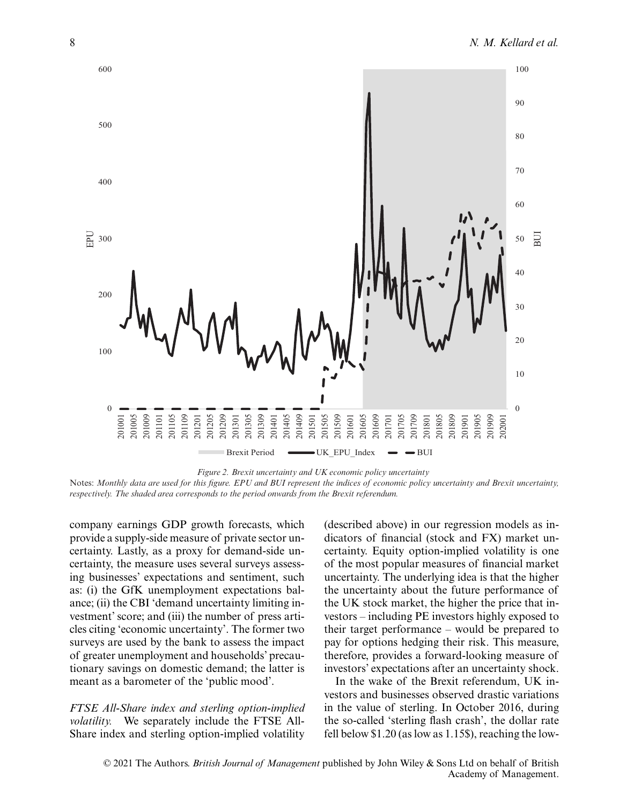

*Figure 2. Brexit uncertainty and UK economic policy uncertainty* Notes: *Monthly data are used for this figure. EPU and BUI represent the indices of economic policy uncertainty and Brexit uncertainty, respectively. The shaded area corresponds to the period onwards from the Brexit referendum.*

company earnings GDP growth forecasts, which provide a supply-side measure of private sector uncertainty. Lastly, as a proxy for demand-side uncertainty, the measure uses several surveys assessing businesses' expectations and sentiment, such as: (i) the GfK unemployment expectations balance; (ii) the CBI 'demand uncertainty limiting investment' score; and (iii) the number of press articles citing 'economic uncertainty'. The former two surveys are used by the bank to assess the impact of greater unemployment and households' precautionary savings on domestic demand; the latter is meant as a barometer of the 'public mood'.

*FTSE All-Share index and sterling option-implied volatility.* We separately include the FTSE All-Share index and sterling option-implied volatility

(described above) in our regression models as indicators of financial (stock and FX) market uncertainty. Equity option-implied volatility is one of the most popular measures of financial market uncertainty. The underlying idea is that the higher the uncertainty about the future performance of the UK stock market, the higher the price that investors – including PE investors highly exposed to their target performance – would be prepared to pay for options hedging their risk. This measure, therefore, provides a forward-looking measure of investors' expectations after an uncertainty shock.

In the wake of the Brexit referendum, UK investors and businesses observed drastic variations in the value of sterling. In October 2016, during the so-called 'sterling flash crash', the dollar rate fell below \$1.20 (as low as 1.15\$), reaching the low-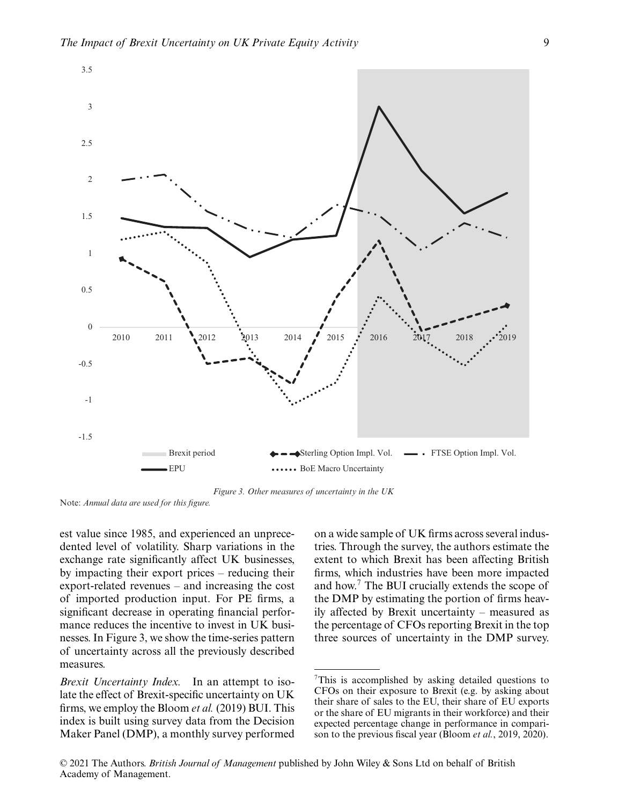

*Figure 3. Other measures of uncertainty in the UK*

Note: *Annual data are used for this figure.*

est value since 1985, and experienced an unprecedented level of volatility. Sharp variations in the exchange rate significantly affect UK businesses, by impacting their export prices – reducing their export-related revenues – and increasing the cost of imported production input. For PE firms, a significant decrease in operating financial performance reduces the incentive to invest in UK businesses. In Figure 3, we show the time-series pattern of uncertainty across all the previously described measures.

*Brexit Uncertainty Index.* In an attempt to isolate the effect of Brexit-specific uncertainty on UK firms, we employ the Bloom *et al.* (2019) BUI. This index is built using survey data from the Decision Maker Panel (DMP), a monthly survey performed on a wide sample of UK firms across several industries. Through the survey, the authors estimate the extent to which Brexit has been affecting British firms, which industries have been more impacted and how.7 The BUI crucially extends the scope of the DMP by estimating the portion of firms heavily affected by Brexit uncertainty – measured as the percentage of CFOs reporting Brexit in the top three sources of uncertainty in the DMP survey.

 $7$ This is accomplished by asking detailed questions to CFOs on their exposure to Brexit (e.g. by asking about their share of sales to the EU, their share of EU exports or the share of EU migrants in their workforce) and their expected percentage change in performance in comparison to the previous fiscal year (Bloom *et al.*, 2019, 2020).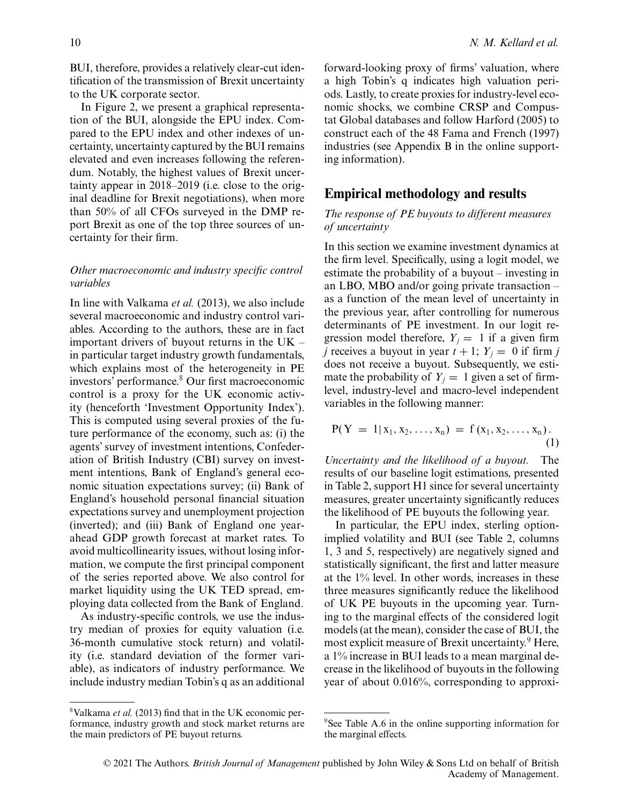BUI, therefore, provides a relatively clear-cut identification of the transmission of Brexit uncertainty to the UK corporate sector.

In Figure 2, we present a graphical representation of the BUI, alongside the EPU index. Compared to the EPU index and other indexes of uncertainty, uncertainty captured by the BUI remains elevated and even increases following the referendum. Notably, the highest values of Brexit uncertainty appear in 2018–2019 (i.e. close to the original deadline for Brexit negotiations), when more than 50% of all CFOs surveyed in the DMP report Brexit as one of the top three sources of uncertainty for their firm.

#### *Other macroeconomic and industry specific control variables*

In line with Valkama *et al.* (2013), we also include several macroeconomic and industry control variables. According to the authors, these are in fact important drivers of buyout returns in the UK – in particular target industry growth fundamentals, which explains most of the heterogeneity in PE investors' performance.<sup>8</sup> Our first macroeconomic control is a proxy for the UK economic activity (henceforth 'Investment Opportunity Index'). This is computed using several proxies of the future performance of the economy, such as: (i) the agents' survey of investment intentions, Confederation of British Industry (CBI) survey on investment intentions, Bank of England's general economic situation expectations survey; (ii) Bank of England's household personal financial situation expectations survey and unemployment projection (inverted); and (iii) Bank of England one yearahead GDP growth forecast at market rates. To avoid multicollinearity issues, without losing information, we compute the first principal component of the series reported above. We also control for market liquidity using the UK TED spread, employing data collected from the Bank of England.

As industry-specific controls, we use the industry median of proxies for equity valuation (i.e. 36-month cumulative stock return) and volatility (i.e. standard deviation of the former variable), as indicators of industry performance. We include industry median Tobin's q as an additional forward-looking proxy of firms' valuation, where a high Tobin's q indicates high valuation periods. Lastly, to create proxies for industry-level economic shocks, we combine CRSP and Compustat Global databases and follow Harford (2005) to construct each of the 48 Fama and French (1997) industries (see Appendix B in the online supporting information).

# **Empirical methodology and results**

## *The response of PE buyouts to different measures of uncertainty*

In this section we examine investment dynamics at the firm level. Specifically, using a logit model, we estimate the probability of a buyout – investing in an LBO, MBO and/or going private transaction – as a function of the mean level of uncertainty in the previous year, after controlling for numerous determinants of PE investment. In our logit regression model therefore,  $Y_i = 1$  if a given firm *j* receives a buyout in year  $t + 1$ ;  $Y_i = 0$  if firm *j* does not receive a buyout. Subsequently, we estimate the probability of  $Y_i = 1$  given a set of firmlevel, industry-level and macro-level independent variables in the following manner:

$$
P(Y = 1 | x_1, x_2, \ldots, x_n) = f(x_1, x_2, \ldots, x_n).
$$
\n(1)

*Uncertainty and the likelihood of a buyout.* The results of our baseline logit estimations, presented in Table 2, support H1 since for several uncertainty measures, greater uncertainty significantly reduces the likelihood of PE buyouts the following year.

In particular, the EPU index, sterling optionimplied volatility and BUI (see Table 2, columns 1, 3 and 5, respectively) are negatively signed and statistically significant, the first and latter measure at the 1% level. In other words, increases in these three measures significantly reduce the likelihood of UK PE buyouts in the upcoming year. Turning to the marginal effects of the considered logit models (at the mean), consider the case of BUI, the most explicit measure of Brexit uncertainty.<sup>9</sup> Here, a 1% increase in BUI leads to a mean marginal decrease in the likelihood of buyouts in the following year of about 0.016%, corresponding to approxi-

<sup>8</sup>Valkama *et al.* (2013) find that in the UK economic performance, industry growth and stock market returns are the main predictors of PE buyout returns.

<sup>&</sup>lt;sup>9</sup>See Table A.6 in the online supporting information for the marginal effects.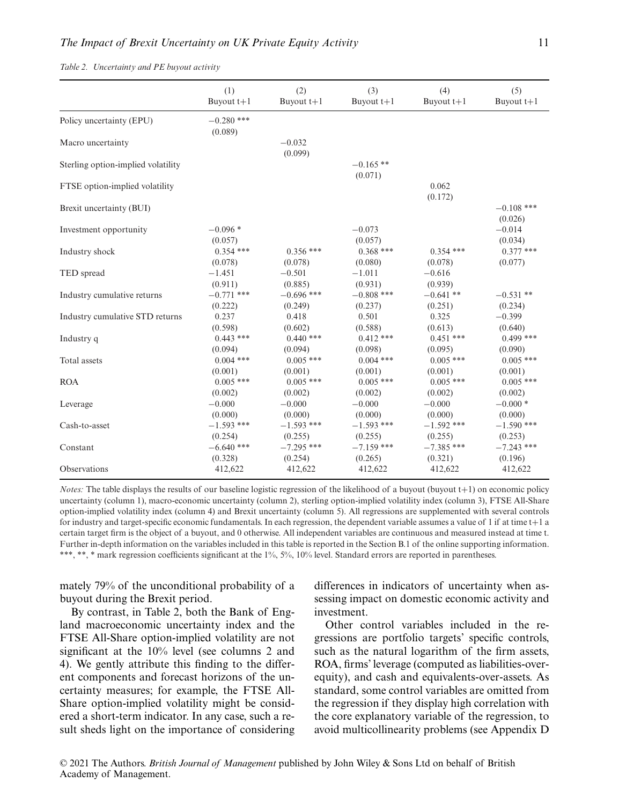*Table 2. Uncertainty and PE buyout activity*

|                                    | (1)                     | (2)                     | (3)                     | (4)                     | (5)                     |
|------------------------------------|-------------------------|-------------------------|-------------------------|-------------------------|-------------------------|
|                                    | Buyout $t+1$            | Buyout $t+1$            | Buyout $t+1$            | Buyout $t+1$            | Buyout $t+1$            |
| Policy uncertainty (EPU)           | $-0.280$ ***<br>(0.089) |                         |                         |                         |                         |
| Macro uncertainty                  |                         | $-0.032$<br>(0.099)     |                         |                         |                         |
| Sterling option-implied volatility |                         |                         | $-0.165$ **<br>(0.071)  |                         |                         |
| FTSE option-implied volatility     |                         |                         |                         | 0.062<br>(0.172)        |                         |
| Brexit uncertainty (BUI)           |                         |                         |                         |                         | $-0.108$ ***<br>(0.026) |
| Investment opportunity             | $-0.096*$<br>(0.057)    |                         | $-0.073$<br>(0.057)     |                         | $-0.014$<br>(0.034)     |
| Industry shock                     | $0.354$ ***             | $0.356$ ***             | $0.368$ ***             | $0.354$ ***             | $0.377$ ***             |
|                                    | (0.078)                 | (0.078)                 | (0.080)                 | (0.078)                 | (0.077)                 |
| TED spread                         | $-1.451$<br>(0.911)     | $-0.501$<br>(0.885)     | $-1.011$<br>(0.931)     | $-0.616$<br>(0.939)     |                         |
| Industry cumulative returns        | $-0.771$ ***            | $-0.696$ ***            | $-0.808$ ***            | $-0.641**$              | $-0.531**$              |
|                                    | (0.222)                 | (0.249)                 | (0.237)                 | (0.251)                 | (0.234)                 |
| Industry cumulative STD returns    | 0.237                   | 0.418                   | 0.501                   | 0.325                   | $-0.399$                |
|                                    | (0.598)                 | (0.602)                 | (0.588)                 | (0.613)                 | (0.640)                 |
| Industry q                         | $0.443$ ***             | $0.440$ ***             | $0.412***$              | $0.451$ ***             | $0.499$ ***             |
|                                    | (0.094)                 | (0.094)                 | (0.098)                 | (0.095)                 | (0.090)                 |
| Total assets                       | $0.004$ ***             | $0.005$ ***             | $0.004$ ***             | $0.005$ ***             | $0.005$ ***             |
|                                    | (0.001)                 | (0.001)                 | (0.001)                 | (0.001)                 | (0.001)                 |
| <b>ROA</b>                         | $0.005$ ***             | $0.005$ ***             | $0.005$ ***             | $0.005$ ***             | $0.005$ ***             |
|                                    | (0.002)                 | (0.002)                 | (0.002)                 | (0.002)                 | (0.002)                 |
| Leverage                           | $-0.000$                | $-0.000$                | $-0.000$                | $-0.000$                | $-0.000*$               |
|                                    | (0.000)                 | (0.000)                 | (0.000)                 | (0.000)                 | (0.000)                 |
| Cash-to-asset                      | $-1.593$ ***<br>(0.254) | $-1.593$ ***            | $-1.593$ ***<br>(0.255) | $-1.592$ ***<br>(0.255) | $-1.590$ ***<br>(0.253) |
| Constant                           | $-6.640$ ***            | (0.255)<br>$-7.295$ *** | $-7.159$ ***            | $-7.385$ ***            | $-7.243$ ***            |
| Observations                       | (0.328)                 | (0.254)                 | (0.265)                 | (0.321)                 | (0.196)                 |
|                                    | 412,622                 | 412,622                 | 412,622                 | 412,622                 | 412,622                 |

*Notes:* The table displays the results of our baseline logistic regression of the likelihood of a buyout (buyout t+1) on economic policy uncertainty (column 1), macro-economic uncertainty (column 2), sterling option-implied volatility index (column 3), FTSE All-Share option-implied volatility index (column 4) and Brexit uncertainty (column 5). All regressions are supplemented with several controls for industry and target-specific economic fundamentals. In each regression, the dependent variable assumes a value of 1 if at time t+1 a certain target firm is the object of a buyout, and 0 otherwise. All independent variables are continuous and measured instead at time t. Further in-depth information on the variables included in this table is reported in the Section B.1 of the online supporting information. \*\*\*, \*\*, \* mark regression coefficients significant at the 1%, 5%, 10% level. Standard errors are reported in parentheses.

mately 79% of the unconditional probability of a buyout during the Brexit period.

By contrast, in Table 2, both the Bank of England macroeconomic uncertainty index and the FTSE All-Share option-implied volatility are not significant at the 10% level (see columns 2 and 4). We gently attribute this finding to the different components and forecast horizons of the uncertainty measures; for example, the FTSE All-Share option-implied volatility might be considered a short-term indicator. In any case, such a result sheds light on the importance of considering differences in indicators of uncertainty when assessing impact on domestic economic activity and investment.

Other control variables included in the regressions are portfolio targets' specific controls, such as the natural logarithm of the firm assets, ROA, firms' leverage (computed as liabilities-overequity), and cash and equivalents-over-assets. As standard, some control variables are omitted from the regression if they display high correlation with the core explanatory variable of the regression, to avoid multicollinearity problems (see Appendix D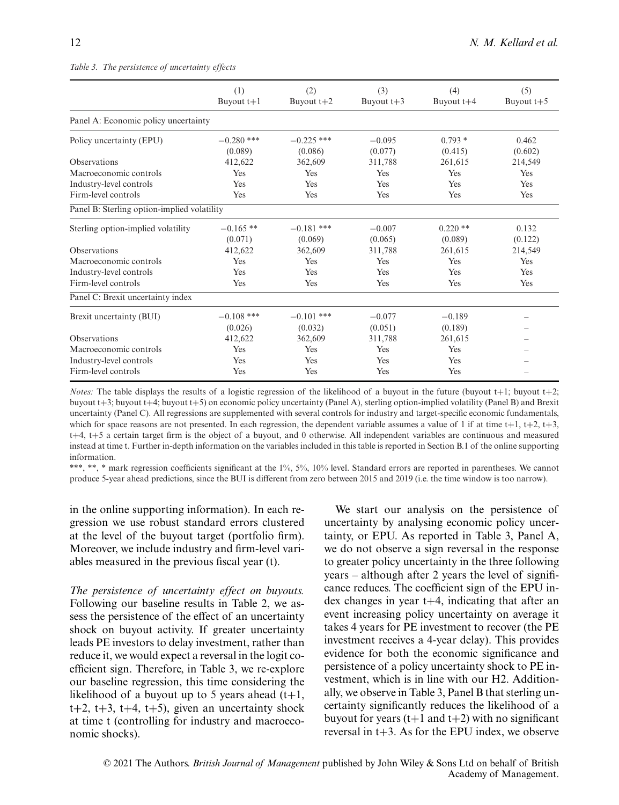|                                             | (1)<br>Buyout $t+1$     | (2)<br>Buyout $t+2$     | (3)<br>Buyout $t+3$ | (4)<br>Buyout $t+4$ | (5)<br>Buyout $t+5$ |
|---------------------------------------------|-------------------------|-------------------------|---------------------|---------------------|---------------------|
| Panel A: Economic policy uncertainty        |                         |                         |                     |                     |                     |
| Policy uncertainty (EPU)                    | $-0.280$ ***<br>(0.089) | $-0.225$ ***<br>(0.086) | $-0.095$<br>(0.077) | $0.793*$<br>(0.415) | 0.462<br>(0.602)    |
| <b>Observations</b>                         | 412.622                 | 362,609                 | 311,788             | 261.615             | 214,549             |
| Macroeconomic controls                      | Yes                     | Yes                     | Yes                 | Yes                 | Yes                 |
| Industry-level controls                     | Yes                     | Yes                     | Yes                 | Yes                 | Yes                 |
| Firm-level controls                         | Yes                     | Yes                     | Yes                 | Yes                 | Yes                 |
| Panel B: Sterling option-implied volatility |                         |                         |                     |                     |                     |
| Sterling option-implied volatility          | $-0.165**$              | $-0.181$ ***            | $-0.007$            | $0.220$ **          | 0.132               |
|                                             | (0.071)                 | (0.069)                 | (0.065)             | (0.089)             | (0.122)             |
| <b>Observations</b>                         | 412,622                 | 362,609                 | 311,788             | 261,615             | 214,549             |
| Macroeconomic controls                      | Yes                     | Yes                     | Yes                 | Yes                 | Yes                 |
| Industry-level controls                     | Yes                     | Yes                     | Yes                 | Yes                 | Yes                 |
| Firm-level controls                         | Yes                     | Yes                     | Yes                 | Yes                 | Yes                 |
| Panel C: Brexit uncertainty index           |                         |                         |                     |                     |                     |
| Brexit uncertainty (BUI)                    | $-0.108$ ***            | $-0.101$ ***            | $-0.077$            | $-0.189$            |                     |
|                                             | (0.026)                 | (0.032)                 | (0.051)             | (0.189)             |                     |
| <b>Observations</b>                         | 412,622                 | 362,609                 | 311,788             | 261,615             |                     |
| Macroeconomic controls                      | Yes                     | Yes                     | Yes                 | Yes                 |                     |
| Industry-level controls                     | Yes                     | Yes                     | Yes                 | Yes                 |                     |
| Firm-level controls                         | Yes                     | Yes                     | Yes                 | Yes                 |                     |

#### *Table 3. The persistence of uncertainty effects*

*Notes:* The table displays the results of a logistic regression of the likelihood of a buyout in the future (buyout t+1; buyout t+2; buyout t+3; buyout t+4; buyout t+5) on economic policy uncertainty (Panel A), sterling option-implied volatility (Panel B) and Brexit uncertainty (Panel C). All regressions are supplemented with several controls for industry and target-specific economic fundamentals, which for space reasons are not presented. In each regression, the dependent variable assumes a value of 1 if at time  $t+1$ ,  $t+2$ ,  $t+3$ , t+4, t+5 a certain target firm is the object of a buyout, and 0 otherwise. All independent variables are continuous and measured instead at time t. Further in-depth information on the variables included in this table is reported in Section B.1 of the online supporting information.

\*\*\*, \*\*, \* mark regression coefficients significant at the 1%, 5%, 10% level. Standard errors are reported in parentheses. We cannot produce 5-year ahead predictions, since the BUI is different from zero between 2015 and 2019 (i.e. the time window is too narrow).

in the online supporting information). In each regression we use robust standard errors clustered at the level of the buyout target (portfolio firm). Moreover, we include industry and firm-level variables measured in the previous fiscal year (t).

*The persistence of uncertainty effect on buyouts.* Following our baseline results in Table 2, we assess the persistence of the effect of an uncertainty shock on buyout activity. If greater uncertainty leads PE investors to delay investment, rather than reduce it, we would expect a reversal in the logit coefficient sign. Therefore, in Table 3, we re-explore our baseline regression, this time considering the likelihood of a buyout up to 5 years ahead  $(t+1)$ ,  $t+2$ ,  $t+3$ ,  $t+4$ ,  $t+5$ ), given an uncertainty shock at time t (controlling for industry and macroeconomic shocks).

We start our analysis on the persistence of uncertainty by analysing economic policy uncertainty, or EPU. As reported in Table 3, Panel A, we do not observe a sign reversal in the response to greater policy uncertainty in the three following years – although after 2 years the level of significance reduces. The coefficient sign of the EPU index changes in year  $t+4$ , indicating that after an event increasing policy uncertainty on average it takes 4 years for PE investment to recover (the PE investment receives a 4-year delay). This provides evidence for both the economic significance and persistence of a policy uncertainty shock to PE investment, which is in line with our H2. Additionally, we observe in Table 3, Panel B that sterling uncertainty significantly reduces the likelihood of a buyout for years  $(t+1$  and  $t+2$ ) with no significant reversal in  $t+3$ . As for the EPU index, we observe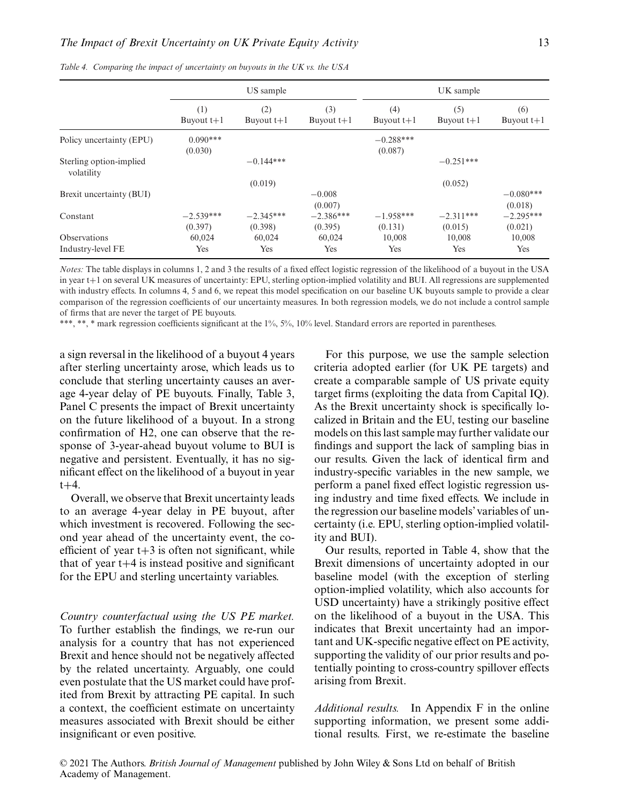|                                       | US sample              |                        |                        |                        | UK sample              |                        |  |  |
|---------------------------------------|------------------------|------------------------|------------------------|------------------------|------------------------|------------------------|--|--|
|                                       | (1)<br>Buyout $t+1$    | (2)<br>Buyout $t+1$    | (3)<br>Buyout $t+1$    | (4)<br>Buyout $t+1$    | (5)<br>Buyout $t+1$    | (6)<br>Buyout $t+1$    |  |  |
| Policy uncertainty (EPU)              | $0.090***$<br>(0.030)  |                        |                        | $-0.288***$<br>(0.087) |                        |                        |  |  |
| Sterling option-implied<br>volatility |                        | $-0.144***$            |                        |                        | $-0.251***$            |                        |  |  |
|                                       |                        | (0.019)                |                        |                        | (0.052)                |                        |  |  |
| Brexit uncertainty (BUI)              |                        |                        | $-0.008$<br>(0.007)    |                        |                        | $-0.080***$<br>(0.018) |  |  |
| Constant                              | $-2.539***$<br>(0.397) | $-2.345***$<br>(0.398) | $-2.386***$<br>(0.395) | $-1.958***$<br>(0.131) | $-2.311***$<br>(0.015) | $-2.295***$<br>(0.021) |  |  |
| Observations                          | 60,024                 | 60,024                 | 60,024                 | 10,008                 | 10,008                 | 10,008                 |  |  |
| Industry-level FE                     | Yes                    | Yes                    | Yes                    | Yes                    | Yes                    | Yes                    |  |  |

*Table 4. Comparing the impact of uncertainty on buyouts in the UK vs. the USA*

*Notes:* The table displays in columns 1, 2 and 3 the results of a fixed effect logistic regression of the likelihood of a buyout in the USA in year t+1 on several UK measures of uncertainty: EPU, sterling option-implied volatility and BUI. All regressions are supplemented with industry effects. In columns 4, 5 and 6, we repeat this model specification on our baseline UK buyouts sample to provide a clear comparison of the regression coefficients of our uncertainty measures. In both regression models, we do not include a control sample of firms that are never the target of PE buyouts.

\*\*\*, \*\*, \* mark regression coefficients significant at the 1%, 5%, 10% level. Standard errors are reported in parentheses.

a sign reversal in the likelihood of a buyout 4 years after sterling uncertainty arose, which leads us to conclude that sterling uncertainty causes an average 4-year delay of PE buyouts. Finally, Table 3, Panel C presents the impact of Brexit uncertainty on the future likelihood of a buyout. In a strong confirmation of H2, one can observe that the response of 3-year-ahead buyout volume to BUI is negative and persistent. Eventually, it has no significant effect on the likelihood of a buyout in year  $t + 4.$ 

Overall, we observe that Brexit uncertainty leads to an average 4-year delay in PE buyout, after which investment is recovered. Following the second year ahead of the uncertainty event, the coefficient of year  $t+3$  is often not significant, while that of year  $t+4$  is instead positive and significant for the EPU and sterling uncertainty variables.

*Country counterfactual using the US PE market.* To further establish the findings, we re-run our analysis for a country that has not experienced Brexit and hence should not be negatively affected by the related uncertainty. Arguably, one could even postulate that the US market could have profited from Brexit by attracting PE capital. In such a context, the coefficient estimate on uncertainty measures associated with Brexit should be either insignificant or even positive.

For this purpose, we use the sample selection criteria adopted earlier (for UK PE targets) and create a comparable sample of US private equity target firms (exploiting the data from Capital IQ). As the Brexit uncertainty shock is specifically localized in Britain and the EU, testing our baseline models on this last sample may further validate our findings and support the lack of sampling bias in our results. Given the lack of identical firm and industry-specific variables in the new sample, we perform a panel fixed effect logistic regression using industry and time fixed effects. We include in the regression our baseline models' variables of uncertainty (i.e. EPU, sterling option-implied volatility and BUI).

Our results, reported in Table 4, show that the Brexit dimensions of uncertainty adopted in our baseline model (with the exception of sterling option-implied volatility, which also accounts for USD uncertainty) have a strikingly positive effect on the likelihood of a buyout in the USA. This indicates that Brexit uncertainty had an important and UK-specific negative effect on PE activity, supporting the validity of our prior results and potentially pointing to cross-country spillover effects arising from Brexit.

*Additional results.* In Appendix F in the online supporting information, we present some additional results. First, we re-estimate the baseline

© 2021 The Authors. *British Journal of Management* published by John Wiley & Sons Ltd on behalf of British Academy of Management.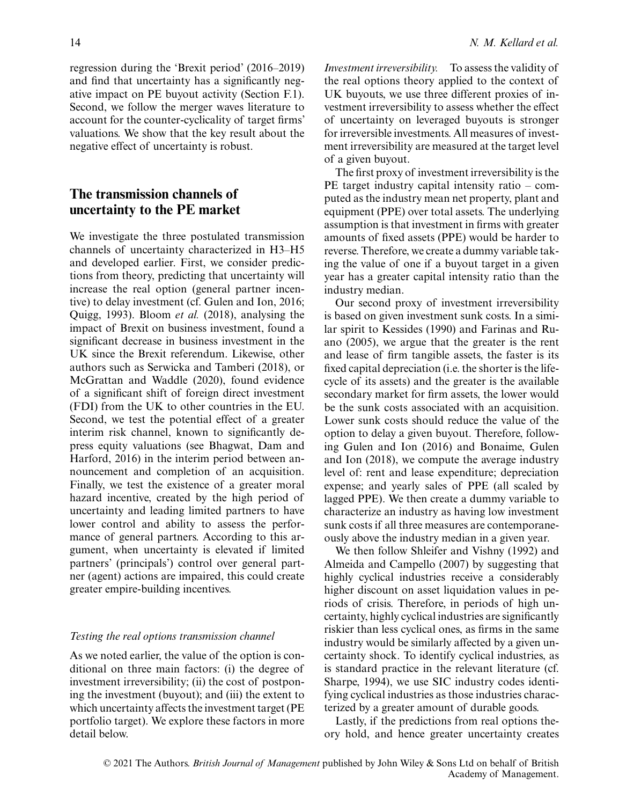regression during the 'Brexit period' (2016–2019) and find that uncertainty has a significantly negative impact on PE buyout activity (Section F.1). Second, we follow the merger waves literature to account for the counter-cyclicality of target firms' valuations. We show that the key result about the negative effect of uncertainty is robust.

# **The transmission channels of uncertainty to the PE market**

We investigate the three postulated transmission channels of uncertainty characterized in H3–H5 and developed earlier. First, we consider predictions from theory, predicting that uncertainty will increase the real option (general partner incentive) to delay investment (cf. Gulen and Ion, 2016; Quigg, 1993). Bloom *et al.* (2018), analysing the impact of Brexit on business investment, found a significant decrease in business investment in the UK since the Brexit referendum. Likewise, other authors such as Serwicka and Tamberi (2018), or McGrattan and Waddle (2020), found evidence of a significant shift of foreign direct investment (FDI) from the UK to other countries in the EU. Second, we test the potential effect of a greater interim risk channel, known to significantly depress equity valuations (see Bhagwat, Dam and Harford, 2016) in the interim period between announcement and completion of an acquisition. Finally, we test the existence of a greater moral hazard incentive, created by the high period of uncertainty and leading limited partners to have lower control and ability to assess the performance of general partners. According to this argument, when uncertainty is elevated if limited partners' (principals') control over general partner (agent) actions are impaired, this could create greater empire-building incentives.

#### *Testing the real options transmission channel*

As we noted earlier, the value of the option is conditional on three main factors: (i) the degree of investment irreversibility; (ii) the cost of postponing the investment (buyout); and (iii) the extent to which uncertainty affects the investment target (PE portfolio target). We explore these factors in more detail below.

*Investment irreversibility.* To assess the validity of the real options theory applied to the context of UK buyouts, we use three different proxies of investment irreversibility to assess whether the effect of uncertainty on leveraged buyouts is stronger for irreversible investments. All measures of investment irreversibility are measured at the target level of a given buyout.

The first proxy of investment irreversibility is the PE target industry capital intensity ratio – computed as the industry mean net property, plant and equipment (PPE) over total assets. The underlying assumption is that investment in firms with greater amounts of fixed assets (PPE) would be harder to reverse. Therefore, we create a dummy variable taking the value of one if a buyout target in a given year has a greater capital intensity ratio than the industry median.

Our second proxy of investment irreversibility is based on given investment sunk costs. In a similar spirit to Kessides (1990) and Farinas and Ruano (2005), we argue that the greater is the rent and lease of firm tangible assets, the faster is its fixed capital depreciation (i.e. the shorter is the lifecycle of its assets) and the greater is the available secondary market for firm assets, the lower would be the sunk costs associated with an acquisition. Lower sunk costs should reduce the value of the option to delay a given buyout. Therefore, following Gulen and Ion (2016) and Bonaime, Gulen and Ion (2018), we compute the average industry level of: rent and lease expenditure; depreciation expense; and yearly sales of PPE (all scaled by lagged PPE). We then create a dummy variable to characterize an industry as having low investment sunk costs if all three measures are contemporaneously above the industry median in a given year.

We then follow Shleifer and Vishny (1992) and Almeida and Campello (2007) by suggesting that highly cyclical industries receive a considerably higher discount on asset liquidation values in periods of crisis. Therefore, in periods of high uncertainty, highly cyclical industries are significantly riskier than less cyclical ones, as firms in the same industry would be similarly affected by a given uncertainty shock. To identify cyclical industries, as is standard practice in the relevant literature (cf. Sharpe, 1994), we use SIC industry codes identifying cyclical industries as those industries characterized by a greater amount of durable goods.

Lastly, if the predictions from real options theory hold, and hence greater uncertainty creates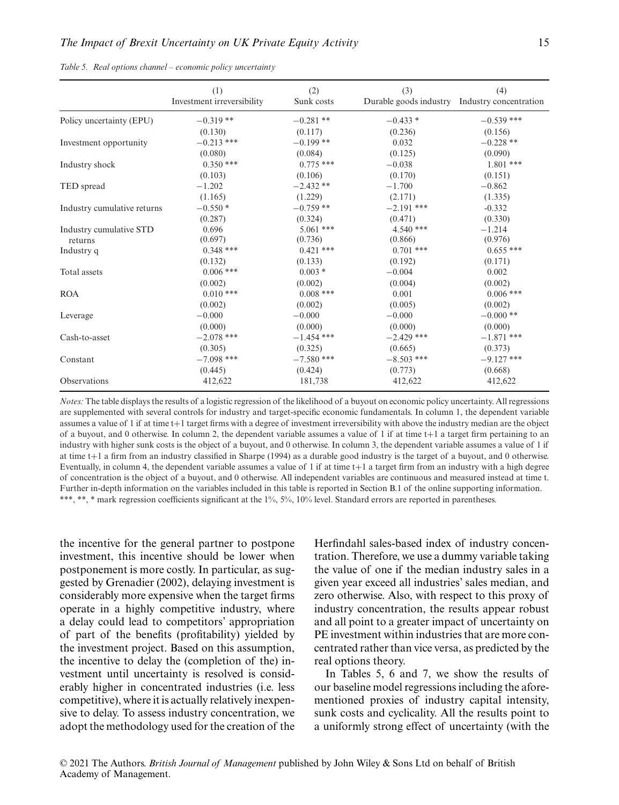|  |  |  |  | Table 5. Real options channel - economic policy uncertainty |  |  |
|--|--|--|--|-------------------------------------------------------------|--|--|
|--|--|--|--|-------------------------------------------------------------|--|--|

|                             | (1)<br>Investment irreversibility | (2)<br>Sunk costs | (3)          | (4)<br>Durable goods industry Industry concentration |
|-----------------------------|-----------------------------------|-------------------|--------------|------------------------------------------------------|
| Policy uncertainty (EPU)    | $-0.319**$                        | $-0.281$ **       | $-0.433*$    | $-0.539$ ***                                         |
|                             | (0.130)                           | (0.117)           | (0.236)      | (0.156)                                              |
| Investment opportunity      | $-0.213$ ***                      | $-0.199$ **       | 0.032        | $-0.228$ **                                          |
|                             | (0.080)                           | (0.084)           | (0.125)      | (0.090)                                              |
| Industry shock              | $0.350$ ***                       | $0.775$ ***       | $-0.038$     | $1.801$ ***                                          |
|                             | (0.103)                           | (0.106)           | (0.170)      | (0.151)                                              |
| TED spread                  | $-1.202$                          | $-2.432**$        | $-1.700$     | $-0.862$                                             |
|                             | (1.165)                           | (1.229)           | (2.171)      | (1.335)                                              |
| Industry cumulative returns | $-0.550*$                         | $-0.759$ **       | $-2.191$ *** | $-0.332$                                             |
|                             | (0.287)                           | (0.324)           | (0.471)      | (0.330)                                              |
| Industry cumulative STD     | 0.696                             | $5.061$ ***       | $4.540***$   | $-1.214$                                             |
| returns                     | (0.697)                           | (0.736)           | (0.866)      | (0.976)                                              |
| Industry q                  | $0.348***$                        | $0.421$ ***       | $0.701$ ***  | $0.655***$                                           |
|                             | (0.132)                           | (0.133)           | (0.192)      | (0.171)                                              |
| Total assets                | $0.006$ ***                       | $0.003*$          | $-0.004$     | 0.002                                                |
|                             | (0.002)                           | (0.002)           | (0.004)      | (0.002)                                              |
| <b>ROA</b>                  | $0.010$ ***                       | $0.008$ ***       | 0.001        | $0.006$ ***                                          |
|                             | (0.002)                           | (0.002)           | (0.005)      | (0.002)                                              |
| Leverage                    | $-0.000$                          | $-0.000$          | $-0.000$     | $-0.000**$                                           |
|                             | (0.000)                           | (0.000)           | (0.000)      | (0.000)                                              |
| Cash-to-asset               | $-2.078$ ***                      | $-1.454$ ***      | $-2.429$ *** | $-1.871$ ***                                         |
|                             | (0.305)                           | (0.325)           | (0.665)      | (0.373)                                              |
| Constant                    | $-7.098$ ***                      | $-7.580$ ***      | $-8.503$ *** | $-9.127$ ***                                         |
|                             | (0.445)                           | (0.424)           | (0.773)      | (0.668)                                              |
| Observations                | 412,622                           | 181,738           | 412,622      | 412,622                                              |

*Notes:* The table displays the results of a logistic regression of the likelihood of a buyout on economic policy uncertainty. All regressions are supplemented with several controls for industry and target-specific economic fundamentals. In column 1, the dependent variable assumes a value of 1 if at time t+1 target firms with a degree of investment irreversibility with above the industry median are the object of a buyout, and 0 otherwise. In column 2, the dependent variable assumes a value of 1 if at time  $t+1$  a target firm pertaining to an industry with higher sunk costs is the object of a buyout, and 0 otherwise. In column 3, the dependent variable assumes a value of 1 if at time t+1 a firm from an industry classified in Sharpe (1994) as a durable good industry is the target of a buyout, and 0 otherwise. Eventually, in column 4, the dependent variable assumes a value of  $1$  if at time  $t+1$  a target firm from an industry with a high degree of concentration is the object of a buyout, and 0 otherwise. All independent variables are continuous and measured instead at time t. Further in-depth information on the variables included in this table is reported in Section B.1 of the online supporting information. \*\*\*, \*\*, \* mark regression coefficients significant at the 1%, 5%, 10% level. Standard errors are reported in parentheses.

the incentive for the general partner to postpone investment, this incentive should be lower when postponement is more costly. In particular, as suggested by Grenadier (2002), delaying investment is considerably more expensive when the target firms operate in a highly competitive industry, where a delay could lead to competitors' appropriation of part of the benefits (profitability) yielded by the investment project. Based on this assumption, the incentive to delay the (completion of the) investment until uncertainty is resolved is considerably higher in concentrated industries (i.e. less competitive), where it is actually relatively inexpensive to delay. To assess industry concentration, we adopt the methodology used for the creation of the

Academy of Management.

Herfindahl sales-based index of industry concentration. Therefore, we use a dummy variable taking the value of one if the median industry sales in a given year exceed all industries' sales median, and zero otherwise. Also, with respect to this proxy of industry concentration, the results appear robust and all point to a greater impact of uncertainty on PE investment within industries that are more concentrated rather than vice versa, as predicted by the real options theory.

In Tables 5, 6 and 7, we show the results of our baseline model regressions including the aforementioned proxies of industry capital intensity, sunk costs and cyclicality. All the results point to a uniformly strong effect of uncertainty (with the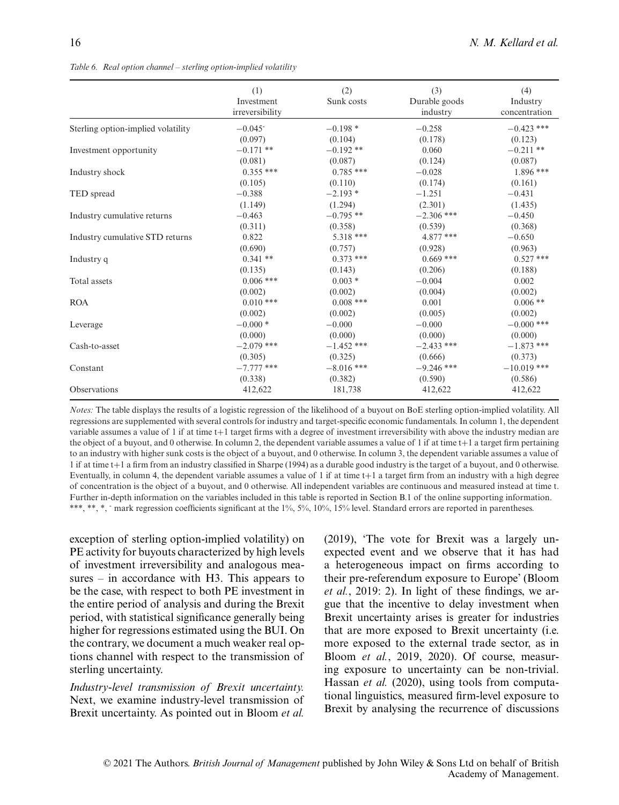|                                    | (1)<br>Investment<br>irreversibility | (2)<br>Sunk costs | (3)<br>Durable goods<br>industry | (4)<br>Industry<br>concentration |
|------------------------------------|--------------------------------------|-------------------|----------------------------------|----------------------------------|
| Sterling option-implied volatility | $-0.045$ <sup>-</sup>                | $-0.198*$         | $-0.258$                         | $-0.423$ ***                     |
|                                    | (0.097)                              | (0.104)           | (0.178)                          | (0.123)                          |
| Investment opportunity             | $-0.171**$                           | $-0.192**$        | 0.060                            | $-0.211**$                       |
|                                    | (0.081)                              | (0.087)           | (0.124)                          | (0.087)                          |
| Industry shock                     | $0.355***$                           | $0.785***$        | $-0.028$                         | $1.896***$                       |
|                                    | (0.105)                              | (0.110)           | (0.174)                          | (0.161)                          |
| TED spread                         | $-0.388$                             | $-2.193*$         | $-1.251$                         | $-0.431$                         |
|                                    | (1.149)                              | (1.294)           | (2.301)                          | (1.435)                          |
| Industry cumulative returns        | $-0.463$                             | $-0.795**$        | $-2.306$ ***                     | $-0.450$                         |
|                                    | (0.311)                              | (0.358)           | (0.539)                          | (0.368)                          |
| Industry cumulative STD returns    | 0.822                                | 5.318 ***         | $4.877$ ***                      | $-0.650$                         |
|                                    | (0.690)                              | (0.757)           | (0.928)                          | (0.963)                          |
| Industry q                         | $0.341**$                            | $0.373$ ***       | $0.669$ ***                      | $0.527$ ***                      |
|                                    | (0.135)                              | (0.143)           | (0.206)                          | (0.188)                          |
| Total assets                       | $0.006$ ***                          | $0.003*$          | $-0.004$                         | 0.002                            |
|                                    | (0.002)                              | (0.002)           | (0.004)                          | (0.002)                          |
| <b>ROA</b>                         | $0.010$ ***                          | $0.008$ ***       | 0.001                            | $0.006$ **                       |
|                                    | (0.002)                              | (0.002)           | (0.005)                          | (0.002)                          |
| Leverage                           | $-0.000*$                            | $-0.000$          | $-0.000$                         | $-0.000$ ***                     |
|                                    | (0.000)                              | (0.000)           | (0.000)                          | (0.000)                          |
| Cash-to-asset                      | $-2.079$ ***                         | $-1.452$ ***      | $-2.433$ ***                     | $-1.873$ ***                     |
|                                    | (0.305)                              | (0.325)           | (0.666)                          | (0.373)                          |
| Constant                           | $-7.777$ ***                         | $-8.016$ ***      | $-9.246$ ***                     | $-10.019$ ***                    |
|                                    | (0.338)                              | (0.382)           | (0.590)                          | (0.586)                          |
| Observations                       | 412,622                              | 181,738           | 412,622                          | 412,622                          |

*Table 6. Real option channel – sterling option-implied volatility*

*Notes:* The table displays the results of a logistic regression of the likelihood of a buyout on BoE sterling option-implied volatility. All regressions are supplemented with several controls for industry and target-specific economic fundamentals. In column 1, the dependent variable assumes a value of 1 if at time t+1 target firms with a degree of investment irreversibility with above the industry median are the object of a buyout, and 0 otherwise. In column 2, the dependent variable assumes a value of 1 if at time  $t+1$  a target firm pertaining to an industry with higher sunk costs is the object of a buyout, and 0 otherwise. In column 3, the dependent variable assumes a value of 1 if at time t+1 a firm from an industry classified in Sharpe (1994) as a durable good industry is the target of a buyout, and 0 otherwise. Eventually, in column 4, the dependent variable assumes a value of 1 if at time  $t+1$  a target firm from an industry with a high degree of concentration is the object of a buyout, and 0 otherwise. All independent variables are continuous and measured instead at time t. Further in-depth information on the variables included in this table is reported in Section B.1 of the online supporting information. \*\*\*, \*\*, \*, - mark regression coefficients significant at the 1%, 5%, 10%, 15% level. Standard errors are reported in parentheses.

exception of sterling option-implied volatility) on PE activity for buyouts characterized by high levels of investment irreversibility and analogous measures – in accordance with H3. This appears to be the case, with respect to both PE investment in the entire period of analysis and during the Brexit period, with statistical significance generally being higher for regressions estimated using the BUI. On the contrary, we document a much weaker real options channel with respect to the transmission of sterling uncertainty.

*Industry-level transmission of Brexit uncertainty.* Next, we examine industry-level transmission of Brexit uncertainty. As pointed out in Bloom *et al.* (2019), 'The vote for Brexit was a largely unexpected event and we observe that it has had a heterogeneous impact on firms according to their pre-referendum exposure to Europe' (Bloom *et al.*, 2019: 2). In light of these findings, we argue that the incentive to delay investment when Brexit uncertainty arises is greater for industries that are more exposed to Brexit uncertainty (i.e. more exposed to the external trade sector, as in Bloom *et al.*, 2019, 2020). Of course, measuring exposure to uncertainty can be non-trivial. Hassan *et al.* (2020), using tools from computational linguistics, measured firm-level exposure to Brexit by analysing the recurrence of discussions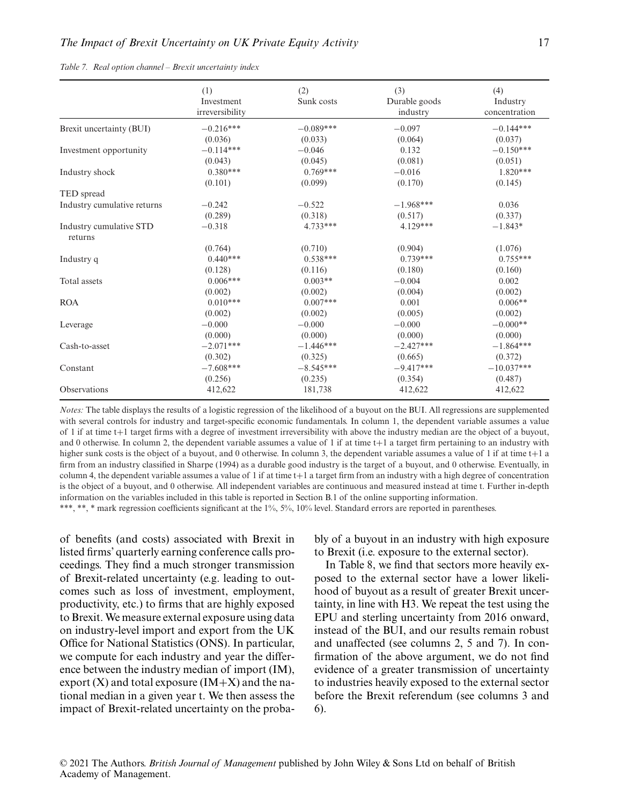|  |  |  |  |  |  | Table 7. Real option channel - Brexit uncertainty index |  |
|--|--|--|--|--|--|---------------------------------------------------------|--|
|--|--|--|--|--|--|---------------------------------------------------------|--|

|                                    | (1)<br>Investment<br>irreversibility | (2)<br>Sunk costs | (3)<br>Durable goods<br>industry | (4)<br>Industry<br>concentration |
|------------------------------------|--------------------------------------|-------------------|----------------------------------|----------------------------------|
| Brexit uncertainty (BUI)           | $-0.216***$                          | $-0.089***$       | $-0.097$                         | $-0.144***$                      |
|                                    | (0.036)                              | (0.033)           | (0.064)                          | (0.037)                          |
| Investment opportunity             | $-0.114***$                          | $-0.046$          | 0.132                            | $-0.150***$                      |
|                                    | (0.043)                              | (0.045)           | (0.081)                          | (0.051)                          |
| Industry shock                     | $0.380***$                           | $0.769***$        | $-0.016$                         | $1.820***$                       |
|                                    | (0.101)                              | (0.099)           | (0.170)                          | (0.145)                          |
| TED spread                         |                                      |                   |                                  |                                  |
| Industry cumulative returns        | $-0.242$                             | $-0.522$          | $-1.968***$                      | 0.036                            |
|                                    | (0.289)                              | (0.318)           | (0.517)                          | (0.337)                          |
| Industry cumulative STD<br>returns | $-0.318$                             | $4.733***$        | $4.129***$                       | $-1.843*$                        |
|                                    | (0.764)                              | (0.710)           | (0.904)                          | (1.076)                          |
| Industry q                         | $0.440***$                           | $0.538***$        | $0.739***$                       | $0.755***$                       |
|                                    | (0.128)                              | (0.116)           | (0.180)                          | (0.160)                          |
| Total assets                       | $0.006***$                           | $0.003**$         | $-0.004$                         | 0.002                            |
|                                    | (0.002)                              | (0.002)           | (0.004)                          | (0.002)                          |
| <b>ROA</b>                         | $0.010***$                           | $0.007***$        | 0.001                            | $0.006**$                        |
|                                    | (0.002)                              | (0.002)           | (0.005)                          | (0.002)                          |
| Leverage                           | $-0.000$                             | $-0.000$          | $-0.000$                         | $-0.000**$                       |
|                                    | (0.000)                              | (0.000)           | (0.000)                          | (0.000)                          |
| Cash-to-asset                      | $-2.071***$                          | $-1.446***$       | $-2.427***$                      | $-1.864***$                      |
|                                    | (0.302)                              | (0.325)           | (0.665)                          | (0.372)                          |
| Constant                           | $-7.608***$                          | $-8.545***$       | $-9.417***$                      | $-10.037***$                     |
|                                    | (0.256)                              | (0.235)           | (0.354)                          | (0.487)                          |
| Observations                       | 412,622                              | 181,738           | 412,622                          | 412,622                          |

*Notes:* The table displays the results of a logistic regression of the likelihood of a buyout on the BUI. All regressions are supplemented with several controls for industry and target-specific economic fundamentals. In column 1, the dependent variable assumes a value of 1 if at time t+1 target firms with a degree of investment irreversibility with above the industry median are the object of a buyout, and 0 otherwise. In column 2, the dependent variable assumes a value of 1 if at time t+1 a target firm pertaining to an industry with higher sunk costs is the object of a buyout, and 0 otherwise. In column 3, the dependent variable assumes a value of 1 if at time t+1 a firm from an industry classified in Sharpe (1994) as a durable good industry is the target of a buyout, and 0 otherwise. Eventually, in column 4, the dependent variable assumes a value of 1 if at time  $t+1$  a target firm from an industry with a high degree of concentration is the object of a buyout, and 0 otherwise. All independent variables are continuous and measured instead at time t. Further in-depth information on the variables included in this table is reported in Section B.1 of the online supporting information. \*\*\*, \*\*, \* mark regression coefficients significant at the 1%, 5%, 10% level. Standard errors are reported in parentheses.

of benefits (and costs) associated with Brexit in listed firms' quarterly earning conference calls proceedings. They find a much stronger transmission of Brexit-related uncertainty (e.g. leading to outcomes such as loss of investment, employment, productivity, etc.) to firms that are highly exposed to Brexit. We measure external exposure using data on industry-level import and export from the UK Office for National Statistics (ONS). In particular, we compute for each industry and year the difference between the industry median of import (IM), export  $(X)$  and total exposure  $(IM+X)$  and the national median in a given year t. We then assess the impact of Brexit-related uncertainty on the proba-

bly of a buyout in an industry with high exposure to Brexit (i.e. exposure to the external sector).

In Table 8, we find that sectors more heavily exposed to the external sector have a lower likelihood of buyout as a result of greater Brexit uncertainty, in line with H3. We repeat the test using the EPU and sterling uncertainty from 2016 onward, instead of the BUI, and our results remain robust and unaffected (see columns 2, 5 and 7). In confirmation of the above argument, we do not find evidence of a greater transmission of uncertainty to industries heavily exposed to the external sector before the Brexit referendum (see columns 3 and 6).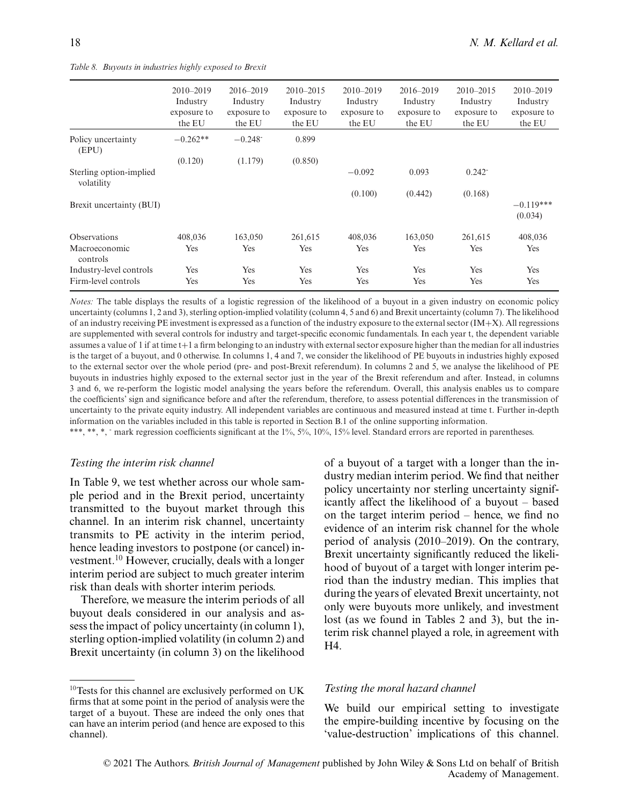|  |  |  | Table 8. Buyouts in industries highly exposed to Brexit |  |  |  |  |
|--|--|--|---------------------------------------------------------|--|--|--|--|
|--|--|--|---------------------------------------------------------|--|--|--|--|

|                                       | $2010 - 2019$<br>Industry<br>exposure to<br>the EU | 2016-2019<br>Industry<br>exposure to<br>the EU | $2010 - 2015$<br>Industry<br>exposure to<br>the EU | $2010 - 2019$<br>Industry<br>exposure to<br>the EU | $2016 - 2019$<br>Industry<br>exposure to<br>the EU | $2010 - 2015$<br>Industry<br>exposure to<br>the EU | $2010 - 2019$<br>Industry<br>exposure to<br>the EU |
|---------------------------------------|----------------------------------------------------|------------------------------------------------|----------------------------------------------------|----------------------------------------------------|----------------------------------------------------|----------------------------------------------------|----------------------------------------------------|
| Policy uncertainty<br>(EPU)           | $-0.262**$                                         | $-0.248$ <sup>-</sup>                          | 0.899                                              |                                                    |                                                    |                                                    |                                                    |
|                                       | (0.120)                                            | (1.179)                                        | (0.850)                                            |                                                    |                                                    |                                                    |                                                    |
| Sterling option-implied<br>volatility |                                                    |                                                |                                                    | $-0.092$                                           | 0.093                                              | $0.242^{-}$                                        |                                                    |
|                                       |                                                    |                                                |                                                    | (0.100)                                            | (0.442)                                            | (0.168)                                            |                                                    |
| Brexit uncertainty (BUI)              |                                                    |                                                |                                                    |                                                    |                                                    |                                                    | $-0.119***$<br>(0.034)                             |
| <b>Observations</b>                   | 408,036                                            | 163,050                                        | 261,615                                            | 408,036                                            | 163,050                                            | 261,615                                            | 408,036                                            |
| Macroeconomic<br>controls             | Yes                                                | Yes                                            | Yes                                                | Yes                                                | Yes                                                | Yes                                                | Yes                                                |
| Industry-level controls               | Yes                                                | Yes                                            | Yes                                                | Yes                                                | Yes                                                | Yes                                                | Yes                                                |
| Firm-level controls                   | Yes                                                | Yes                                            | Yes                                                | Yes                                                | Yes                                                | Yes                                                | Yes                                                |

*Notes:* The table displays the results of a logistic regression of the likelihood of a buyout in a given industry on economic policy uncertainty (columns 1, 2 and 3), sterling option-implied volatility (column 4, 5 and 6) and Brexit uncertainty (column 7). The likelihood of an industry receiving PE investment is expressed as a function of the industry exposure to the external sector (IM+X). All regressions are supplemented with several controls for industry and target-specific economic fundamentals. In each year t, the dependent variable assumes a value of 1 if at time t+1 a firm belonging to an industry with external sector exposure higher than the median for all industries is the target of a buyout, and 0 otherwise. In columns 1, 4 and 7, we consider the likelihood of PE buyouts in industries highly exposed to the external sector over the whole period (pre- and post-Brexit referendum). In columns 2 and 5, we analyse the likelihood of PE buyouts in industries highly exposed to the external sector just in the year of the Brexit referendum and after. Instead, in columns 3 and 6, we re-perform the logistic model analysing the years before the referendum. Overall, this analysis enables us to compare the coefficients' sign and significance before and after the referendum, therefore, to assess potential differences in the transmission of uncertainty to the private equity industry. All independent variables are continuous and measured instead at time t. Further in-depth information on the variables included in this table is reported in Section B.1 of the online supporting information.

\*\*\*, \*\*, \*, mark regression coefficients significant at the 1%, 5%, 10%, 15% level. Standard errors are reported in parentheses.

#### *Testing the interim risk channel*

In Table 9, we test whether across our whole sample period and in the Brexit period, uncertainty transmitted to the buyout market through this channel. In an interim risk channel, uncertainty transmits to PE activity in the interim period, hence leading investors to postpone (or cancel) investment.10 However, crucially, deals with a longer interim period are subject to much greater interim risk than deals with shorter interim periods.

Therefore, we measure the interim periods of all buyout deals considered in our analysis and assess the impact of policy uncertainty (in column 1), sterling option-implied volatility (in column 2) and Brexit uncertainty (in column 3) on the likelihood

of a buyout of a target with a longer than the industry median interim period. We find that neither policy uncertainty nor sterling uncertainty significantly affect the likelihood of a buyout – based on the target interim period – hence, we find no evidence of an interim risk channel for the whole period of analysis (2010–2019). On the contrary, Brexit uncertainty significantly reduced the likelihood of buyout of a target with longer interim period than the industry median. This implies that during the years of elevated Brexit uncertainty, not only were buyouts more unlikely, and investment lost (as we found in Tables 2 and 3), but the interim risk channel played a role, in agreement with H4.

#### *Testing the moral hazard channel*

We build our empirical setting to investigate the empire-building incentive by focusing on the 'value-destruction' implications of this channel.

<sup>10</sup>Tests for this channel are exclusively performed on UK firms that at some point in the period of analysis were the target of a buyout. These are indeed the only ones that can have an interim period (and hence are exposed to this channel).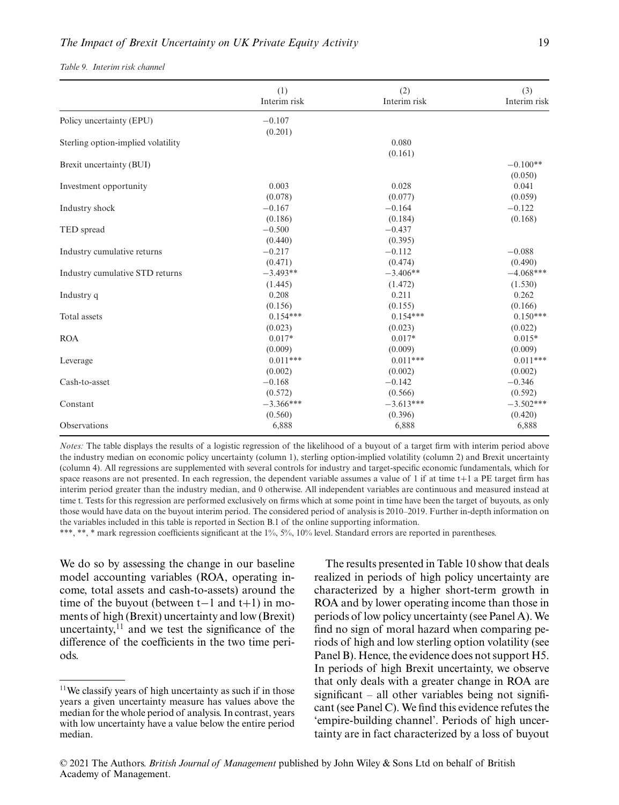| Table 9. Interim risk channel |  |  |  |
|-------------------------------|--|--|--|
|-------------------------------|--|--|--|

|                                    | (1)          | (2)          | (3)          |
|------------------------------------|--------------|--------------|--------------|
|                                    | Interim risk | Interim risk | Interim risk |
| Policy uncertainty (EPU)           | $-0.107$     |              |              |
|                                    | (0.201)      |              |              |
| Sterling option-implied volatility |              | 0.080        |              |
|                                    |              | (0.161)      |              |
| Brexit uncertainty (BUI)           |              |              | $-0.100**$   |
|                                    |              |              | (0.050)      |
| Investment opportunity             | 0.003        | 0.028        | 0.041        |
|                                    | (0.078)      | (0.077)      | (0.059)      |
| Industry shock                     | $-0.167$     | $-0.164$     | $-0.122$     |
|                                    | (0.186)      | (0.184)      | (0.168)      |
| TED spread                         | $-0.500$     | $-0.437$     |              |
|                                    | (0.440)      | (0.395)      |              |
| Industry cumulative returns        | $-0.217$     | $-0.112$     | $-0.088$     |
|                                    | (0.471)      | (0.474)      | (0.490)      |
| Industry cumulative STD returns    | $-3.493**$   | $-3.406**$   | $-4.068***$  |
|                                    | (1.445)      | (1.472)      | (1.530)      |
| Industry q                         | 0.208        | 0.211        | 0.262        |
|                                    | (0.156)      | (0.155)      | (0.166)      |
| Total assets                       | $0.154***$   | $0.154***$   | $0.150***$   |
|                                    | (0.023)      | (0.023)      | (0.022)      |
| <b>ROA</b>                         | $0.017*$     | $0.017*$     | $0.015*$     |
|                                    | (0.009)      | (0.009)      | (0.009)      |
| Leverage                           | $0.011***$   | $0.011***$   | $0.011***$   |
|                                    | (0.002)      | (0.002)      | (0.002)      |
| Cash-to-asset                      | $-0.168$     | $-0.142$     | $-0.346$     |
|                                    | (0.572)      | (0.566)      | (0.592)      |
| Constant                           | $-3.366***$  | $-3.613***$  | $-3.502***$  |
|                                    | (0.560)      | (0.396)      | (0.420)      |
| Observations                       | 6,888        | 6,888        | 6,888        |
|                                    |              |              |              |

*Notes:* The table displays the results of a logistic regression of the likelihood of a buyout of a target firm with interim period above the industry median on economic policy uncertainty (column 1), sterling option-implied volatility (column 2) and Brexit uncertainty (column 4). All regressions are supplemented with several controls for industry and target-specific economic fundamentals, which for space reasons are not presented. In each regression, the dependent variable assumes a value of 1 if at time t+1 a PE target firm has interim period greater than the industry median, and 0 otherwise. All independent variables are continuous and measured instead at time t. Tests for this regression are performed exclusively on firms which at some point in time have been the target of buyouts, as only those would have data on the buyout interim period. The considered period of analysis is 2010–2019. Further in-depth information on the variables included in this table is reported in Section B.1 of the online supporting information.

\*\*\*, \*\*, \* mark regression coefficients significant at the 1%, 5%, 10% level. Standard errors are reported in parentheses.

We do so by assessing the change in our baseline model accounting variables (ROA, operating income, total assets and cash-to-assets) around the time of the buyout (between t−1 and t+1) in moments of high (Brexit) uncertainty and low (Brexit) uncertainty, $^{11}$  and we test the significance of the difference of the coefficients in the two time periods.

The results presented in Table 10 show that deals realized in periods of high policy uncertainty are characterized by a higher short-term growth in ROA and by lower operating income than those in periods of low policy uncertainty (see Panel A). We find no sign of moral hazard when comparing periods of high and low sterling option volatility (see Panel B). Hence, the evidence does not support H5. In periods of high Brexit uncertainty, we observe that only deals with a greater change in ROA are significant – all other variables being not significant (see Panel C). We find this evidence refutes the 'empire-building channel'. Periods of high uncertainty are in fact characterized by a loss of buyout

<sup>11</sup>We classify years of high uncertainty as such if in those years a given uncertainty measure has values above the median for the whole period of analysis. In contrast, years with low uncertainty have a value below the entire period median.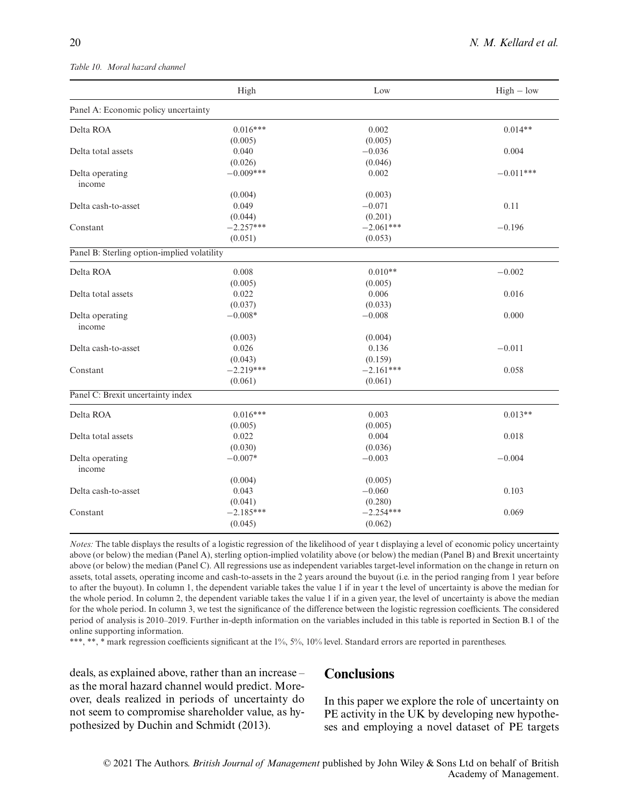#### *Table 10. Moral hazard channel*

|                                             | High                   | Low                    | $High - low$ |
|---------------------------------------------|------------------------|------------------------|--------------|
| Panel A: Economic policy uncertainty        |                        |                        |              |
| Delta ROA                                   | $0.016***$             | 0.002                  | $0.014**$    |
|                                             | (0.005)                | (0.005)                |              |
| Delta total assets                          | 0.040                  | $-0.036$               | 0.004        |
|                                             | (0.026)                | (0.046)                |              |
| Delta operating                             | $-0.009***$            | 0.002                  | $-0.011***$  |
| income                                      |                        |                        |              |
|                                             | (0.004)                | (0.003)                |              |
| Delta cash-to-asset                         | 0.049                  | $-0.071$               | 0.11         |
|                                             | (0.044)                | (0.201)                |              |
| Constant                                    | $-2.257***$            | $-2.061***$            | $-0.196$     |
|                                             | (0.051)                | (0.053)                |              |
| Panel B: Sterling option-implied volatility |                        |                        |              |
| Delta ROA                                   | 0.008                  | $0.010**$              | $-0.002$     |
|                                             | (0.005)                | (0.005)                |              |
| Delta total assets                          | 0.022                  | 0.006                  | 0.016        |
|                                             | (0.037)                | (0.033)                |              |
| Delta operating<br>income                   | $-0.008*$              | $-0.008$               | 0.000        |
|                                             | (0.003)                | (0.004)                |              |
| Delta cash-to-asset                         | 0.026                  | 0.136                  | $-0.011$     |
|                                             | (0.043)                | (0.159)                |              |
| Constant                                    | $-2.219***$            | $-2.161***$            | 0.058        |
|                                             | (0.061)                | (0.061)                |              |
| Panel C: Brexit uncertainty index           |                        |                        |              |
| Delta ROA                                   | $0.016***$             | 0.003                  | $0.013**$    |
|                                             | (0.005)                | (0.005)                |              |
| Delta total assets                          | 0.022                  | 0.004                  | 0.018        |
|                                             | (0.030)                | (0.036)                |              |
| Delta operating<br>income                   | $-0.007*$              | $-0.003$               | $-0.004$     |
|                                             | (0.004)                | (0.005)                |              |
| Delta cash-to-asset                         | 0.043                  | $-0.060$               | 0.103        |
|                                             |                        |                        |              |
| Constant                                    | (0.041)<br>$-2.185***$ | (0.280)<br>$-2.254***$ | 0.069        |
|                                             |                        |                        |              |
|                                             | (0.045)                | (0.062)                |              |

*Notes:* The table displays the results of a logistic regression of the likelihood of year t displaying a level of economic policy uncertainty above (or below) the median (Panel A), sterling option-implied volatility above (or below) the median (Panel B) and Brexit uncertainty above (or below) the median (Panel C). All regressions use as independent variables target-level information on the change in return on assets, total assets, operating income and cash-to-assets in the 2 years around the buyout (i.e. in the period ranging from 1 year before to after the buyout). In column 1, the dependent variable takes the value 1 if in year t the level of uncertainty is above the median for the whole period. In column 2, the dependent variable takes the value 1 if in a given year, the level of uncertainty is above the median for the whole period. In column 3, we test the significance of the difference between the logistic regression coefficients. The considered period of analysis is 2010–2019. Further in-depth information on the variables included in this table is reported in Section B.1 of the online supporting information.

\*\*\*, \*\*, \* mark regression coefficients significant at the 1%, 5%, 10% level. Standard errors are reported in parentheses.

deals, as explained above, rather than an increase – as the moral hazard channel would predict. Moreover, deals realized in periods of uncertainty do not seem to compromise shareholder value, as hypothesized by Duchin and Schmidt (2013).

## **Conclusions**

In this paper we explore the role of uncertainty on PE activity in the UK by developing new hypotheses and employing a novel dataset of PE targets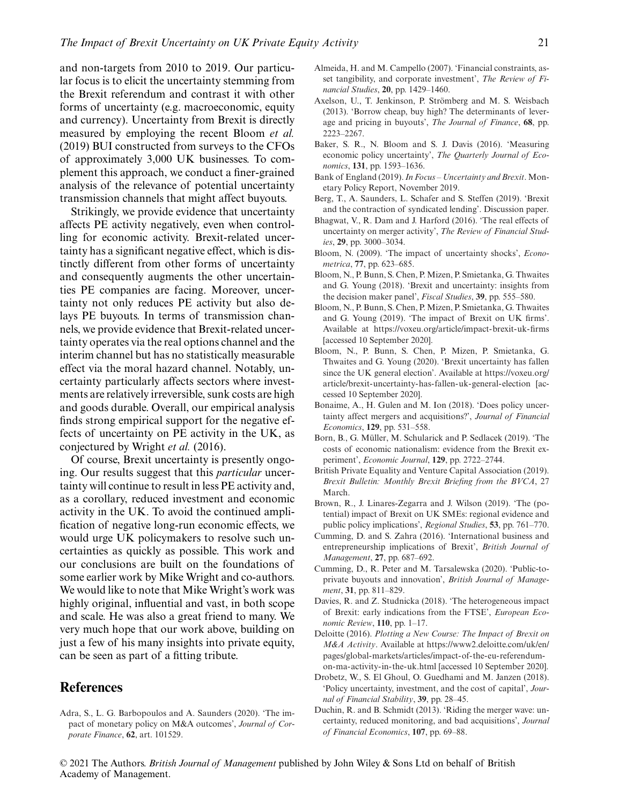and non-targets from 2010 to 2019. Our particular focus is to elicit the uncertainty stemming from the Brexit referendum and contrast it with other forms of uncertainty (e.g. macroeconomic, equity and currency). Uncertainty from Brexit is directly measured by employing the recent Bloom *et al.* (2019) BUI constructed from surveys to the CFOs of approximately 3,000 UK businesses. To complement this approach, we conduct a finer-grained analysis of the relevance of potential uncertainty transmission channels that might affect buyouts.

Strikingly, we provide evidence that uncertainty affects PE activity negatively, even when controlling for economic activity. Brexit-related uncertainty has a significant negative effect, which is distinctly different from other forms of uncertainty and consequently augments the other uncertainties PE companies are facing. Moreover, uncertainty not only reduces PE activity but also delays PE buyouts. In terms of transmission channels, we provide evidence that Brexit-related uncertainty operates via the real options channel and the interim channel but has no statistically measurable effect via the moral hazard channel. Notably, uncertainty particularly affects sectors where investments are relatively irreversible, sunk costs are high and goods durable. Overall, our empirical analysis finds strong empirical support for the negative effects of uncertainty on PE activity in the UK, as conjectured by Wright *et al.* (2016).

Of course, Brexit uncertainty is presently ongoing. Our results suggest that this *particular* uncertainty will continue to result in less PE activity and, as a corollary, reduced investment and economic activity in the UK. To avoid the continued amplification of negative long-run economic effects, we would urge UK policymakers to resolve such uncertainties as quickly as possible. This work and our conclusions are built on the foundations of some earlier work by Mike Wright and co-authors. We would like to note that Mike Wright's work was highly original, influential and vast, in both scope and scale. He was also a great friend to many. We very much hope that our work above, building on just a few of his many insights into private equity, can be seen as part of a fitting tribute.

## **References**

Adra, S., L. G. Barbopoulos and A. Saunders (2020). 'The impact of monetary policy on M&A outcomes', *Journal of Corporate Finance*, **62**, art. 101529.

- Almeida, H. and M. Campello (2007). 'Financial constraints, asset tangibility, and corporate investment', *The Review of Financial Studies*, **20**, pp. 1429–1460.
- Axelson, U., T. Jenkinson, P. Strömberg and M. S. Weisbach (2013). 'Borrow cheap, buy high? The determinants of leverage and pricing in buyouts', *The Journal of Finance*, **68**, pp. 2223–2267.
- Baker, S. R., N. Bloom and S. J. Davis (2016). 'Measuring economic policy uncertainty', *The Quarterly Journal of Economics*, **131**, pp. 1593–1636.
- Bank of England (2019).*In Focus Uncertainty and Brexit*. Monetary Policy Report, November 2019.
- Berg, T., A. Saunders, L. Schafer and S. Steffen (2019). 'Brexit and the contraction of syndicated lending'. Discussion paper.
- Bhagwat, V., R. Dam and J. Harford (2016). 'The real effects of uncertainty on merger activity', *The Review of Financial Studies*, **29**, pp. 3000–3034.
- Bloom, N. (2009). 'The impact of uncertainty shocks', *Econometrica*, **77**, pp. 623–685.
- Bloom, N., P. Bunn, S. Chen, P. Mizen, P. Smietanka, G. Thwaites and G. Young (2018). 'Brexit and uncertainty: insights from the decision maker panel', *Fiscal Studies*, **39**, pp. 555–580.
- Bloom, N., P. Bunn, S. Chen, P. Mizen, P. Smietanka, G. Thwaites and G. Young (2019). 'The impact of Brexit on UK firms'. Available at<https://voxeu.org/article/impact-brexit-uk-firms> [accessed 10 September 2020].
- Bloom, N., P. Bunn, S. Chen, P. Mizen, P. Smietanka, G. Thwaites and G. Young (2020). 'Brexit uncertainty has fallen since the UK general election'. Available at [https://voxeu.org/](https://voxeu.org/article/brexit-uncertainty-has-fallen-uk-general-election) [article/brexit-uncertainty-has-fallen-uk-general-election](https://voxeu.org/article/brexit-uncertainty-has-fallen-uk-general-election) [accessed 10 September 2020].
- Bonaime, A., H. Gulen and M. Ion (2018). 'Does policy uncertainty affect mergers and acquisitions?', *Journal of Financial Economics*, **129**, pp. 531–558.
- Born, B., G. Müller, M. Schularick and P. Sedlacek (2019). 'The costs of economic nationalism: evidence from the Brexit experiment', *Economic Journal*, **129**, pp. 2722–2744.
- British Private Equality and Venture Capital Association (2019). *Brexit Bulletin: Monthly Brexit Briefing from the BVCA*, 27 March.
- Brown, R., J. Linares-Zegarra and J. Wilson (2019). 'The (potential) impact of Brexit on UK SMEs: regional evidence and public policy implications', *Regional Studies*, **53**, pp. 761–770.
- Cumming, D. and S. Zahra (2016). 'International business and entrepreneurship implications of Brexit', *British Journal of Management*, **27**, pp. 687–692.
- Cumming, D., R. Peter and M. Tarsalewska (2020). 'Public-toprivate buyouts and innovation', *British Journal of Management*, **31**, pp. 811–829.
- Davies, R. and Z. Studnicka (2018). 'The heterogeneous impact of Brexit: early indications from the FTSE', *European Economic Review*, **110**, pp. 1–17.
- Deloitte (2016). *Plotting a New Course: The Impact of Brexit on M&A Activity*. Available at [https://www2.deloitte.com/uk/en/](https://www2.deloitte.com/uk/en/pages/global-markets/articles/impact-of-the-eu-referendum-on-ma-activity-in-the-uk.html) [pages/global-markets/articles/impact-of-the-eu-referendum](https://www2.deloitte.com/uk/en/pages/global-markets/articles/impact-of-the-eu-referendum-on-ma-activity-in-the-uk.html)[on-ma-activity-in-the-uk.html](https://www2.deloitte.com/uk/en/pages/global-markets/articles/impact-of-the-eu-referendum-on-ma-activity-in-the-uk.html) [accessed 10 September 2020].
- Drobetz, W., S. El Ghoul, O. Guedhami and M. Janzen (2018). 'Policy uncertainty, investment, and the cost of capital', *Journal of Financial Stability*, **39**, pp. 28–45.
- Duchin, R. and B. Schmidt (2013). 'Riding the merger wave: uncertainty, reduced monitoring, and bad acquisitions', *Journal of Financial Economics*, **107**, pp. 69–88.

© 2021 The Authors. *British Journal of Management* published by John Wiley & Sons Ltd on behalf of British Academy of Management.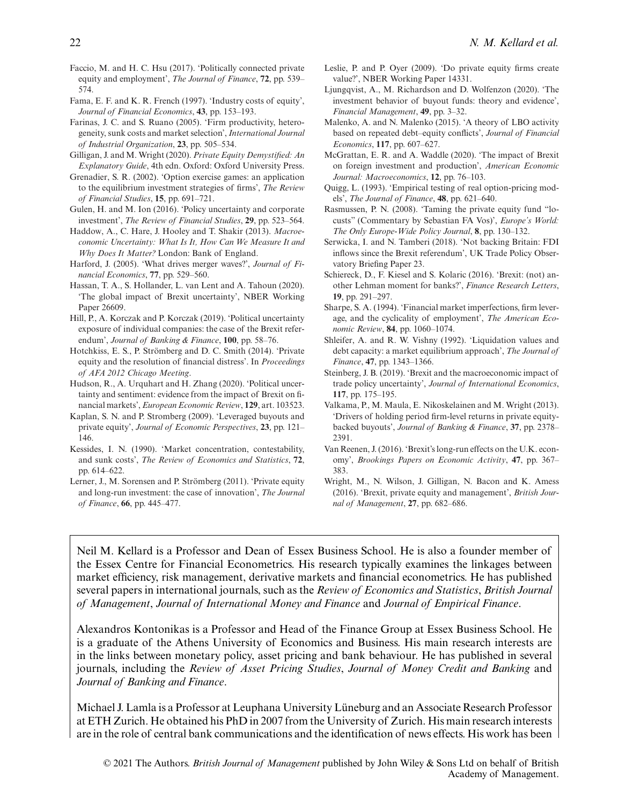- Faccio, M. and H. C. Hsu (2017). 'Politically connected private equity and employment', *The Journal of Finance*, **72**, pp. 539– 574.
- Fama, E. F. and K. R. French (1997). 'Industry costs of equity', *Journal of Financial Economics*, **43**, pp. 153–193.
- Farinas, J. C. and S. Ruano (2005). 'Firm productivity, heterogeneity, sunk costs and market selection', *International Journal of Industrial Organization*, **23**, pp. 505–534.
- Gilligan, J. and M. Wright (2020). *Private Equity Demystified: An Explanatory Guide*, 4th edn. Oxford: Oxford University Press.
- Grenadier, S. R. (2002). 'Option exercise games: an application to the equilibrium investment strategies of firms', *The Review of Financial Studies*, **15**, pp. 691–721.
- Gulen, H. and M. Ion (2016). 'Policy uncertainty and corporate investment', *The Review of Financial Studies*, **29**, pp. 523–564.
- Haddow, A., C. Hare, J. Hooley and T. Shakir (2013). *Macroeconomic Uncertainty: What Is It, How Can We Measure It and Why Does It Matter?* London: Bank of England.
- Harford, J. (2005). 'What drives merger waves?', *Journal of Financial Economics*, **77**, pp. 529–560.
- Hassan, T. A., S. Hollander, L. van Lent and A. Tahoun (2020). 'The global impact of Brexit uncertainty', NBER Working Paper 26609.
- Hill, P., A. Korczak and P. Korczak (2019). 'Political uncertainty exposure of individual companies: the case of the Brexit referendum', *Journal of Banking & Finance*, **100**, pp. 58–76.
- Hotchkiss, E. S., P. Strömberg and D. C. Smith (2014). 'Private equity and the resolution of financial distress'. In *Proceedings of AFA 2012 Chicago Meeting*.
- Hudson, R., A. Urquhart and H. Zhang (2020). 'Political uncertainty and sentiment: evidence from the impact of Brexit on financial markets', *European Economic Review*, **129**, art. 103523.
- Kaplan, S. N. and P. Stromberg (2009). 'Leveraged buyouts and private equity', *Journal of Economic Perspectives*, **23**, pp. 121– 146.
- Kessides, I. N. (1990). 'Market concentration, contestability, and sunk costs', *The Review of Economics and Statistics*, **72**, pp. 614–622.
- Lerner, J., M. Sorensen and P. Strömberg (2011). 'Private equity and long-run investment: the case of innovation', *The Journal of Finance*, **66**, pp. 445–477.
- Leslie, P. and P. Oyer (2009). 'Do private equity firms create value?', NBER Working Paper 14331.
- Ljungqvist, A., M. Richardson and D. Wolfenzon (2020). 'The investment behavior of buyout funds: theory and evidence', *Financial Management*, **49**, pp. 3–32.
- Malenko, A. and N. Malenko (2015). 'A theory of LBO activity based on repeated debt–equity conflicts', *Journal of Financial Economics*, **117**, pp. 607–627.
- McGrattan, E. R. and A. Waddle (2020). 'The impact of Brexit on foreign investment and production', *American Economic Journal: Macroeconomics*, **12**, pp. 76–103.
- Quigg, L. (1993). 'Empirical testing of real option-pricing models', *The Journal of Finance*, **48**, pp. 621–640.
- Rasmussen, P. N. (2008). 'Taming the private equity fund "locusts" (Commentary by Sebastian FA Vos)', *Europe's World: The Only Europe-Wide Policy Journal*, **8**, pp. 130–132.
- Serwicka, I. and N. Tamberi (2018). 'Not backing Britain: FDI inflows since the Brexit referendum', UK Trade Policy Observatory Briefing Paper 23.
- Schiereck, D., F. Kiesel and S. Kolaric (2016). 'Brexit: (not) another Lehman moment for banks?', *Finance Research Letters*, **19**, pp. 291–297.
- Sharpe, S. A. (1994). 'Financial market imperfections, firm leverage, and the cyclicality of employment', *The American Economic Review*, **84**, pp. 1060–1074.
- Shleifer, A. and R. W. Vishny (1992). 'Liquidation values and debt capacity: a market equilibrium approach', *The Journal of Finance*, **47**, pp. 1343–1366.
- Steinberg, J. B. (2019). 'Brexit and the macroeconomic impact of trade policy uncertainty', *Journal of International Economics*, **117**, pp. 175–195.
- Valkama, P., M. Maula, E. Nikoskelainen and M. Wright (2013). 'Drivers of holding period firm-level returns in private equitybacked buyouts', *Journal of Banking & Finance*, **37**, pp. 2378– 2391.
- Van Reenen, J. (2016). 'Brexit's long-run effects on the U.K. economy', *Brookings Papers on Economic Activity*, **47**, pp. 367– 383.
- Wright, M., N. Wilson, J. Gilligan, N. Bacon and K. Amess (2016). 'Brexit, private equity and management', *British Journal of Management*, **27**, pp. 682–686.

Neil M. Kellard is a Professor and Dean of Essex Business School. He is also a founder member of the Essex Centre for Financial Econometrics. His research typically examines the linkages between market efficiency, risk management, derivative markets and financial econometrics. He has published several papers in international journals, such as the *Review of Economics and Statistics*, *British Journal of Management*, *Journal of International Money and Finance* and *Journal of Empirical Finance*.

Alexandros Kontonikas is a Professor and Head of the Finance Group at Essex Business School. He is a graduate of the Athens University of Economics and Business. His main research interests are in the links between monetary policy, asset pricing and bank behaviour. He has published in several journals, including the *Review of Asset Pricing Studies*, *Journal of Money Credit and Banking* and *Journal of Banking and Finance*.

Michael J. Lamla is a Professor at Leuphana University Lüneburg and an Associate Research Professor at ETH Zurich. He obtained his PhD in 2007 from the University of Zurich. His main research interests are in the role of central bank communications and the identification of news effects. His work has been